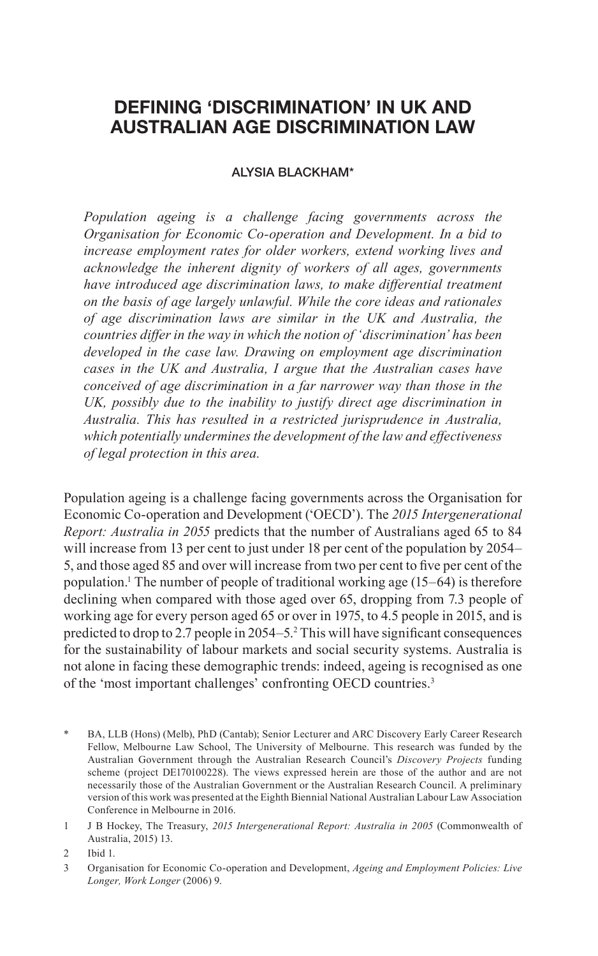# **DEFINING 'DISCRIMINATION' IN UK AND AUSTRALIAN AGE DISCRIMINATION LAW**

#### ALYSIA BLACKHAM\*

*Population ageing is a challenge facing governments across the Organisation for Economic Co-operation and Development. In a bid to increase employment rates for older workers, extend working lives and acknowledge the inherent dignity of workers of all ages, governments have introduced age discrimination laws, to make differential treatment on the basis of age largely unlawful. While the core ideas and rationales of age discrimination laws are similar in the UK and Australia, the countries differ in the way in which the notion of 'discrimination' has been developed in the case law. Drawing on employment age discrimination cases in the UK and Australia, I argue that the Australian cases have conceived of age discrimination in a far narrower way than those in the UK, possibly due to the inability to justify direct age discrimination in Australia. This has resulted in a restricted jurisprudence in Australia, which potentially undermines the development of the law and effectiveness of legal protection in this area.*

Population ageing is a challenge facing governments across the Organisation for Economic Co-operation and Development ('OECD'). The *2015 Intergenerational Report: Australia in 2055* predicts that the number of Australians aged 65 to 84 will increase from 13 per cent to just under 18 per cent of the population by 2054– 5, and those aged 85 and over will increase from two per cent to five per cent of the population.1 The number of people of traditional working age (15–64) is therefore declining when compared with those aged over 65, dropping from 7.3 people of working age for every person aged 65 or over in 1975, to 4.5 people in 2015, and is predicted to drop to 2.7 people in 2054–5.<sup>2</sup> This will have significant consequences for the sustainability of labour markets and social security systems. Australia is not alone in facing these demographic trends: indeed, ageing is recognised as one of the 'most important challenges' confronting OECD countries.3

BA, LLB (Hons) (Melb), PhD (Cantab); Senior Lecturer and ARC Discovery Early Career Research Fellow, Melbourne Law School, The University of Melbourne. This research was funded by the Australian Government through the Australian Research Council's *Discovery Projects* funding scheme (project DE170100228). The views expressed herein are those of the author and are not necessarily those of the Australian Government or the Australian Research Council. A preliminary version of this work was presented at the Eighth Biennial National Australian Labour Law Association Conference in Melbourne in 2016.

<sup>1</sup> J B Hockey, The Treasury, *2015 Intergenerational Report: Australia in 2005* (Commonwealth of Australia, 2015) 13.

<sup>2</sup> Ibid 1.

<sup>3</sup> Organisation for Economic Co-operation and Development, *Ageing and Employment Policies: Live Longer, Work Longer* (2006) 9.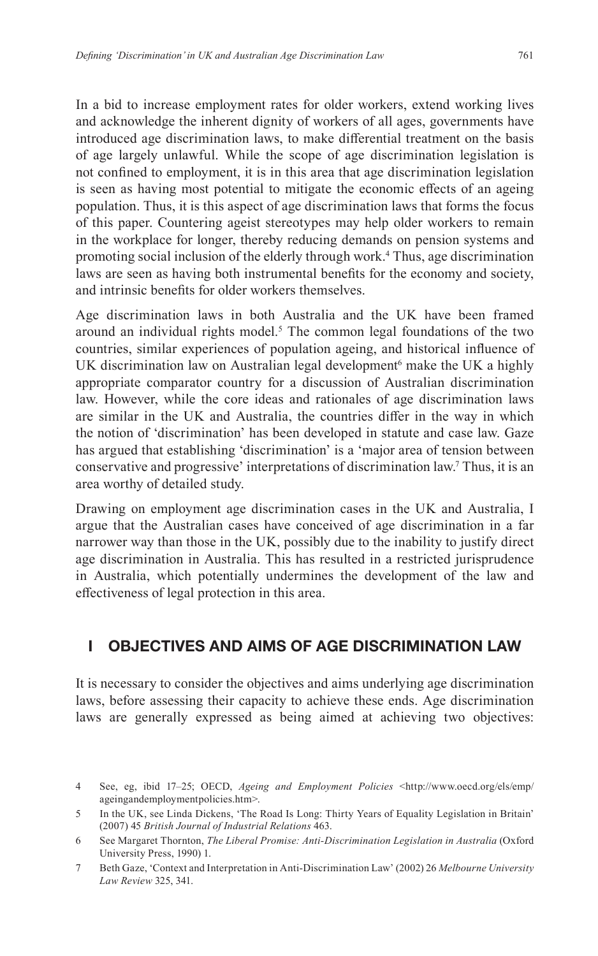In a bid to increase employment rates for older workers, extend working lives and acknowledge the inherent dignity of workers of all ages, governments have introduced age discrimination laws, to make differential treatment on the basis of age largely unlawful. While the scope of age discrimination legislation is not confined to employment, it is in this area that age discrimination legislation is seen as having most potential to mitigate the economic effects of an ageing population. Thus, it is this aspect of age discrimination laws that forms the focus of this paper. Countering ageist stereotypes may help older workers to remain in the workplace for longer, thereby reducing demands on pension systems and promoting social inclusion of the elderly through work.4 Thus, age discrimination laws are seen as having both instrumental benefits for the economy and society, and intrinsic benefits for older workers themselves.

Age discrimination laws in both Australia and the UK have been framed around an individual rights model.<sup>5</sup> The common legal foundations of the two countries, similar experiences of population ageing, and historical influence of UK discrimination law on Australian legal development<sup>6</sup> make the UK a highly appropriate comparator country for a discussion of Australian discrimination law. However, while the core ideas and rationales of age discrimination laws are similar in the UK and Australia, the countries differ in the way in which the notion of 'discrimination' has been developed in statute and case law. Gaze has argued that establishing 'discrimination' is a 'major area of tension between conservative and progressive' interpretations of discrimination law.7 Thus, it is an area worthy of detailed study.

Drawing on employment age discrimination cases in the UK and Australia, I argue that the Australian cases have conceived of age discrimination in a far narrower way than those in the UK, possibly due to the inability to justify direct age discrimination in Australia. This has resulted in a restricted jurisprudence in Australia, which potentially undermines the development of the law and effectiveness of legal protection in this area.

## **I OBJECTIVES AND AIMS OF AGE DISCRIMINATION LAW**

It is necessary to consider the objectives and aims underlying age discrimination laws, before assessing their capacity to achieve these ends. Age discrimination laws are generally expressed as being aimed at achieving two objectives:

<sup>4</sup> See, eg, ibid 17–25; OECD, *Ageing and Employment Policies* <http://www.oecd.org/els/emp/ ageingandemploymentpolicies.htm>.

<sup>5</sup> In the UK, see Linda Dickens, 'The Road Is Long: Thirty Years of Equality Legislation in Britain' (2007) 45 *British Journal of Industrial Relations* 463.

<sup>6</sup> See Margaret Thornton, *The Liberal Promise: Anti-Discrimination Legislation in Australia* (Oxford University Press, 1990) 1.

<sup>7</sup> Beth Gaze, 'Context and Interpretation in Anti-Discrimination Law' (2002) 26 *Melbourne University Law Review* 325, 341.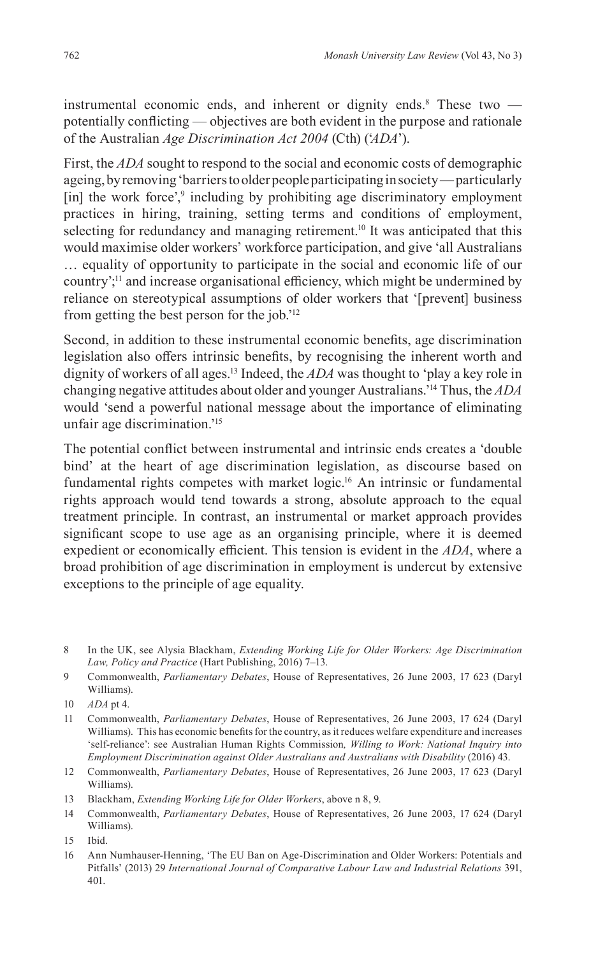instrumental economic ends, and inherent or dignity ends.<sup>8</sup> These two  $$ potentially conflicting — objectives are both evident in the purpose and rationale of the Australian *Age Discrimination Act 2004* (Cth) ('*ADA*').

First, the *ADA* sought to respond to the social and economic costs of demographic ageing, by removing 'barriers to older people participating in society — particularly [in] the work force',<sup>9</sup> including by prohibiting age discriminatory employment practices in hiring, training, setting terms and conditions of employment, selecting for redundancy and managing retirement.<sup>10</sup> It was anticipated that this would maximise older workers' workforce participation, and give 'all Australians … equality of opportunity to participate in the social and economic life of our country';11 and increase organisational efficiency, which might be undermined by reliance on stereotypical assumptions of older workers that '[prevent] business from getting the best person for the job.'12

Second, in addition to these instrumental economic benefits, age discrimination legislation also offers intrinsic benefits, by recognising the inherent worth and dignity of workers of all ages.13 Indeed, the *ADA* was thought to 'play a key role in changing negative attitudes about older and younger Australians.'14 Thus, the *ADA* would 'send a powerful national message about the importance of eliminating unfair age discrimination.'15

The potential conflict between instrumental and intrinsic ends creates a 'double bind' at the heart of age discrimination legislation, as discourse based on fundamental rights competes with market logic.<sup>16</sup> An intrinsic or fundamental rights approach would tend towards a strong, absolute approach to the equal treatment principle. In contrast, an instrumental or market approach provides significant scope to use age as an organising principle, where it is deemed expedient or economically efficient. This tension is evident in the *ADA*, where a broad prohibition of age discrimination in employment is undercut by extensive exceptions to the principle of age equality.

<sup>8</sup> In the UK, see Alysia Blackham, *Extending Working Life for Older Workers: Age Discrimination Law, Policy and Practice* (Hart Publishing, 2016) 7–13.

<sup>9</sup> Commonwealth, *Parliamentary Debates*, House of Representatives, 26 June 2003, 17 623 (Daryl Williams).

<sup>10</sup> *ADA* pt 4.

<sup>11</sup> Commonwealth, *Parliamentary Debates*, House of Representatives, 26 June 2003, 17 624 (Daryl Williams). This has economic benefits for the country, as it reduces welfare expenditure and increases 'self-reliance': see Australian Human Rights Commission*, Willing to Work: National Inquiry into Employment Discrimination against Older Australians and Australians with Disability* (2016) 43.

<sup>12</sup> Commonwealth, *Parliamentary Debates*, House of Representatives, 26 June 2003, 17 623 (Daryl Williams).

<sup>13</sup> Blackham, *Extending Working Life for Older Workers*, above n 8, 9.

<sup>14</sup> Commonwealth, *Parliamentary Debates*, House of Representatives, 26 June 2003, 17 624 (Daryl Williams).

<sup>15</sup> Ibid.

<sup>16</sup> Ann Numhauser-Henning, 'The EU Ban on Age-Discrimination and Older Workers: Potentials and Pitfalls' (2013) 29 *International Journal of Comparative Labour Law and Industrial Relations* 391, 401.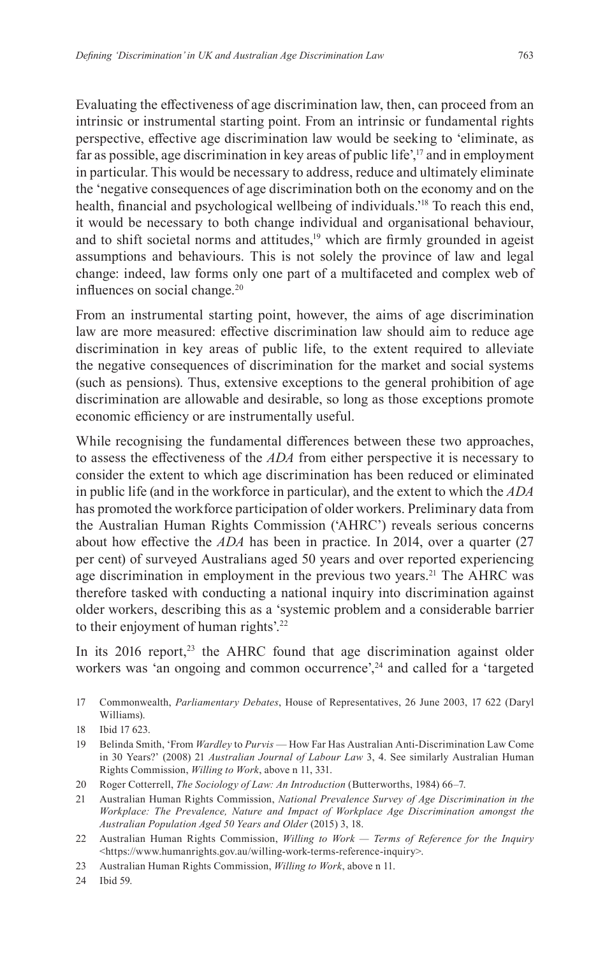Evaluating the effectiveness of age discrimination law, then, can proceed from an intrinsic or instrumental starting point. From an intrinsic or fundamental rights perspective, effective age discrimination law would be seeking to 'eliminate, as far as possible, age discrimination in key areas of public life',<sup>17</sup> and in employment in particular. This would be necessary to address, reduce and ultimately eliminate the 'negative consequences of age discrimination both on the economy and on the health, financial and psychological wellbeing of individuals.'18 To reach this end, it would be necessary to both change individual and organisational behaviour, and to shift societal norms and attitudes, $19$  which are firmly grounded in ageist assumptions and behaviours. This is not solely the province of law and legal change: indeed, law forms only one part of a multifaceted and complex web of influences on social change.<sup>20</sup>

From an instrumental starting point, however, the aims of age discrimination law are more measured: effective discrimination law should aim to reduce age discrimination in key areas of public life, to the extent required to alleviate the negative consequences of discrimination for the market and social systems (such as pensions). Thus, extensive exceptions to the general prohibition of age discrimination are allowable and desirable, so long as those exceptions promote economic efficiency or are instrumentally useful.

While recognising the fundamental differences between these two approaches, to assess the effectiveness of the *ADA* from either perspective it is necessary to consider the extent to which age discrimination has been reduced or eliminated in public life (and in the workforce in particular), and the extent to which the *ADA* has promoted the workforce participation of older workers. Preliminary data from the Australian Human Rights Commission ('AHRC') reveals serious concerns about how effective the *ADA* has been in practice. In 2014, over a quarter (27 per cent) of surveyed Australians aged 50 years and over reported experiencing age discrimination in employment in the previous two years.<sup>21</sup> The AHRC was therefore tasked with conducting a national inquiry into discrimination against older workers, describing this as a 'systemic problem and a considerable barrier to their enjoyment of human rights'.<sup>22</sup>

In its  $2016$  report,<sup>23</sup> the AHRC found that age discrimination against older workers was 'an ongoing and common occurrence',<sup>24</sup> and called for a 'targeted

- 17 Commonwealth, *Parliamentary Debates*, House of Representatives, 26 June 2003, 17 622 (Daryl Williams).
- 18 Ibid 17 623.
- 19 Belinda Smith, 'From *Wardley* to *Purvis* How Far Has Australian Anti-Discrimination Law Come in 30 Years?' (2008) 21 *Australian Journal of Labour Law* 3, 4. See similarly Australian Human Rights Commission, *Willing to Work*, above n 11, 331.
- 20 Roger Cotterrell, *The Sociology of Law: An Introduction* (Butterworths, 1984) 66–7.
- 21 Australian Human Rights Commission, *National Prevalence Survey of Age Discrimination in the Workplace: The Prevalence, Nature and Impact of Workplace Age Discrimination amongst the Australian Population Aged 50 Years and Older* (2015) 3, 18.
- 22 Australian Human Rights Commission, *Willing to Work Terms of Reference for the Inquiry* <https://www.humanrights.gov.au/willing-work-terms-reference-inquiry>.
- 23 Australian Human Rights Commission, *Willing to Work*, above n 11.
- 24 Ibid 59.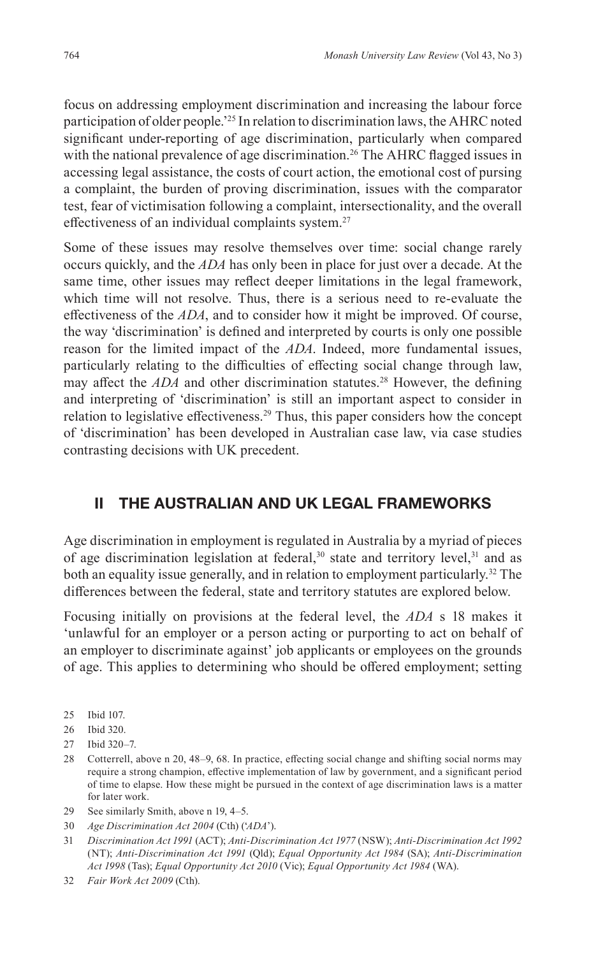focus on addressing employment discrimination and increasing the labour force participation of older people.'25 In relation to discrimination laws, the AHRC noted significant under-reporting of age discrimination, particularly when compared with the national prevalence of age discrimination.<sup>26</sup> The AHRC flagged issues in accessing legal assistance, the costs of court action, the emotional cost of pursing a complaint, the burden of proving discrimination, issues with the comparator test, fear of victimisation following a complaint, intersectionality, and the overall effectiveness of an individual complaints system.<sup>27</sup>

Some of these issues may resolve themselves over time: social change rarely occurs quickly, and the *ADA* has only been in place for just over a decade. At the same time, other issues may reflect deeper limitations in the legal framework, which time will not resolve. Thus, there is a serious need to re-evaluate the effectiveness of the *ADA*, and to consider how it might be improved. Of course, the way 'discrimination' is defined and interpreted by courts is only one possible reason for the limited impact of the *ADA*. Indeed, more fundamental issues, particularly relating to the difficulties of effecting social change through law, may affect the *ADA* and other discrimination statutes.<sup>28</sup> However, the defining and interpreting of 'discrimination' is still an important aspect to consider in relation to legislative effectiveness.<sup>29</sup> Thus, this paper considers how the concept of 'discrimination' has been developed in Australian case law, via case studies contrasting decisions with UK precedent.

## **II THE AUSTRALIAN AND UK LEGAL FRAMEWORKS**

Age discrimination in employment is regulated in Australia by a myriad of pieces of age discrimination legislation at federal,<sup>30</sup> state and territory level,<sup>31</sup> and as both an equality issue generally, and in relation to employment particularly.<sup>32</sup> The differences between the federal, state and territory statutes are explored below.

Focusing initially on provisions at the federal level, the *ADA* s 18 makes it 'unlawful for an employer or a person acting or purporting to act on behalf of an employer to discriminate against' job applicants or employees on the grounds of age. This applies to determining who should be offered employment; setting

- 25 Ibid 107.
- 26 Ibid 320.
- 27 Ibid 320–7.
- 28 Cotterrell, above n 20, 48–9, 68. In practice, effecting social change and shifting social norms may require a strong champion, effective implementation of law by government, and a significant period of time to elapse. How these might be pursued in the context of age discrimination laws is a matter for later work.
- 29 See similarly Smith, above n 19, 4–5.
- 30 *Age Discrimination Act 2004* (Cth) ('*ADA*').
- 31 *Discrimination Act 1991* (ACT); *Anti-Discrimination Act 1977* (NSW); *Anti-Discrimination Act 1992* (NT); *Anti-Discrimination Act 1991* (Qld); *Equal Opportunity Act 1984* (SA); *Anti-Discrimination Act 1998* (Tas); *Equal Opportunity Act 2010* (Vic); *Equal Opportunity Act 1984* (WA).
- 32 *Fair Work Act 2009* (Cth).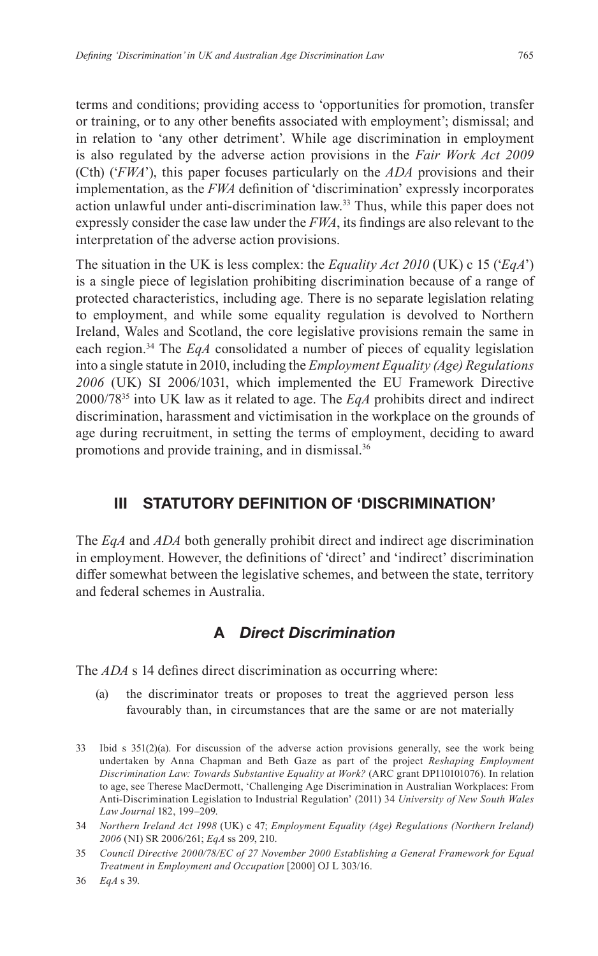terms and conditions; providing access to 'opportunities for promotion, transfer or training, or to any other benefits associated with employment'; dismissal; and in relation to 'any other detriment'. While age discrimination in employment is also regulated by the adverse action provisions in the *Fair Work Act 2009* (Cth) ('*FWA*'), this paper focuses particularly on the *ADA* provisions and their implementation, as the *FWA* definition of 'discrimination' expressly incorporates action unlawful under anti-discrimination law.<sup>33</sup> Thus, while this paper does not expressly consider the case law under the *FWA*, its findings are also relevant to the interpretation of the adverse action provisions.

The situation in the UK is less complex: the *Equality Act 2010* (UK) c 15 ('*EqA*') is a single piece of legislation prohibiting discrimination because of a range of protected characteristics, including age. There is no separate legislation relating to employment, and while some equality regulation is devolved to Northern Ireland, Wales and Scotland, the core legislative provisions remain the same in each region.34 The *EqA* consolidated a number of pieces of equality legislation into a single statute in 2010, including the *Employment Equality (Age) Regulations 2006* (UK) SI 2006/1031, which implemented the EU Framework Directive 2000/7835 into UK law as it related to age. The *EqA* prohibits direct and indirect discrimination, harassment and victimisation in the workplace on the grounds of age during recruitment, in setting the terms of employment, deciding to award promotions and provide training, and in dismissal.<sup>36</sup>

## **III STATUTORY DEFINITION OF 'DISCRIMINATION'**

The *EqA* and *ADA* both generally prohibit direct and indirect age discrimination in employment. However, the definitions of 'direct' and 'indirect' discrimination differ somewhat between the legislative schemes, and between the state, territory and federal schemes in Australia.

# **A** *Direct Discrimination*

The *ADA* s 14 defines direct discrimination as occurring where:

- (a) the discriminator treats or proposes to treat the aggrieved person less favourably than, in circumstances that are the same or are not materially
- 33 Ibid s 351(2)(a). For discussion of the adverse action provisions generally, see the work being undertaken by Anna Chapman and Beth Gaze as part of the project *Reshaping Employment Discrimination Law: Towards Substantive Equality at Work?* (ARC grant DP110101076). In relation to age, see Therese MacDermott, 'Challenging Age Discrimination in Australian Workplaces: From Anti-Discrimination Legislation to Industrial Regulation' (2011) 34 *University of New South Wales Law Journal* 182, 199–209.
- 34 *Northern Ireland Act 1998* (UK) c 47; *Employment Equality (Age) Regulations (Northern Ireland) 2006* (NI) SR 2006/261; *EqA* ss 209, 210.
- 35 *Council Directive 2000/78/EC of 27 November 2000 Establishing a General Framework for Equal Treatment in Employment and Occupation* [2000] OJ L 303/16.

36 *EqA* s 39.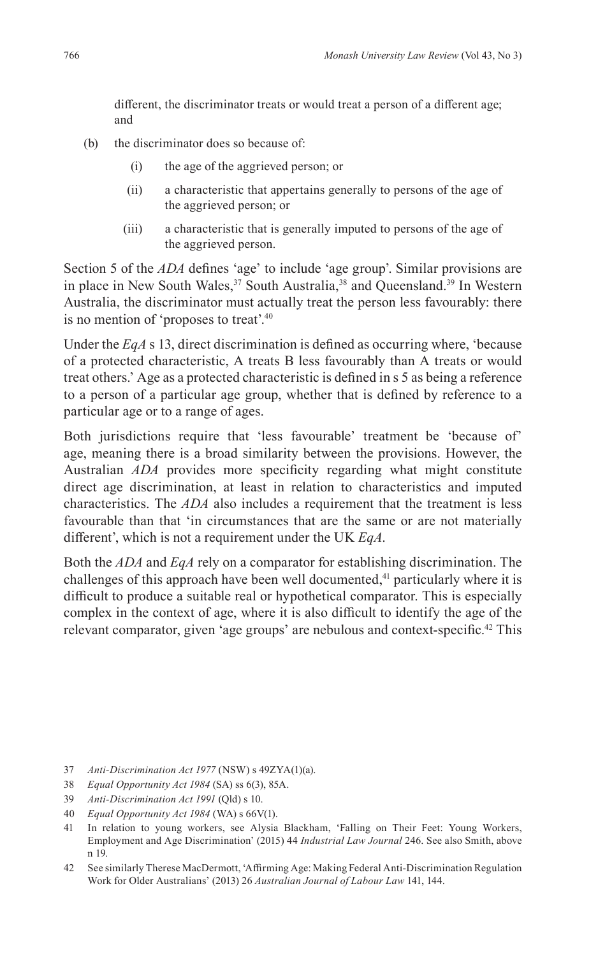different, the discriminator treats or would treat a person of a different age; and

- (b) the discriminator does so because of:
	- (i) the age of the aggrieved person; or
	- (ii) a characteristic that appertains generally to persons of the age of the aggrieved person; or
	- (iii) a characteristic that is generally imputed to persons of the age of the aggrieved person.

Section 5 of the *ADA* defines 'age' to include 'age group'. Similar provisions are in place in New South Wales,<sup>37</sup> South Australia,<sup>38</sup> and Queensland.<sup>39</sup> In Western Australia, the discriminator must actually treat the person less favourably: there is no mention of 'proposes to treat'.40

Under the *EqA* s 13, direct discrimination is defined as occurring where, 'because of a protected characteristic, A treats B less favourably than A treats or would treat others.' Age as a protected characteristic is defined in s 5 as being a reference to a person of a particular age group, whether that is defined by reference to a particular age or to a range of ages.

Both jurisdictions require that 'less favourable' treatment be 'because of' age, meaning there is a broad similarity between the provisions. However, the Australian *ADA* provides more specificity regarding what might constitute direct age discrimination, at least in relation to characteristics and imputed characteristics. The *ADA* also includes a requirement that the treatment is less favourable than that 'in circumstances that are the same or are not materially different', which is not a requirement under the UK *EqA*.

Both the *ADA* and *EqA* rely on a comparator for establishing discrimination. The challenges of this approach have been well documented, $41$  particularly where it is difficult to produce a suitable real or hypothetical comparator. This is especially complex in the context of age, where it is also difficult to identify the age of the relevant comparator, given 'age groups' are nebulous and context-specific.42 This

- 37 *Anti-Discrimination Act 1977* (NSW) s 49ZYA(1)(a).
- 38 *Equal Opportunity Act 1984* (SA) ss 6(3), 85A.
- 39 *Anti-Discrimination Act 1991* (Qld) s 10.
- 40 *Equal Opportunity Act 1984* (WA) s 66V(1).
- 41 In relation to young workers, see Alysia Blackham, 'Falling on Their Feet: Young Workers, Employment and Age Discrimination' (2015) 44 *Industrial Law Journal* 246. See also Smith, above n 19.
- 42 See similarly Therese MacDermott, 'Affirming Age: Making Federal Anti-Discrimination Regulation Work for Older Australians' (2013) 26 *Australian Journal of Labour Law* 141, 144.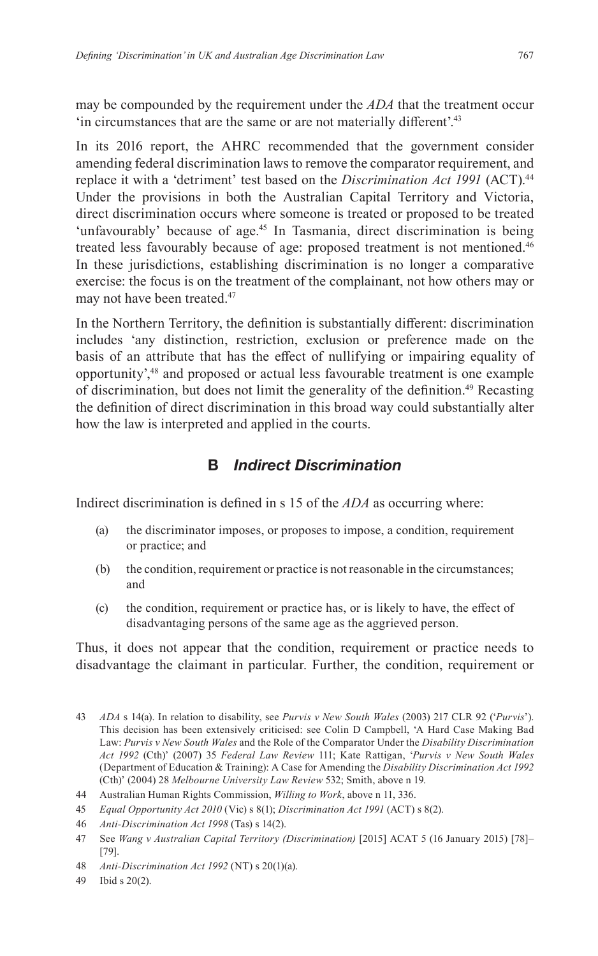may be compounded by the requirement under the *ADA* that the treatment occur 'in circumstances that are the same or are not materially different'.<sup>43</sup>

In its 2016 report, the AHRC recommended that the government consider amending federal discrimination laws to remove the comparator requirement, and replace it with a 'detriment' test based on the *Discrimination Act 1991* (ACT).<sup>44</sup> Under the provisions in both the Australian Capital Territory and Victoria, direct discrimination occurs where someone is treated or proposed to be treated 'unfavourably' because of age.<sup>45</sup> In Tasmania, direct discrimination is being treated less favourably because of age: proposed treatment is not mentioned.<sup>46</sup> In these jurisdictions, establishing discrimination is no longer a comparative exercise: the focus is on the treatment of the complainant, not how others may or may not have been treated.<sup>47</sup>

In the Northern Territory, the definition is substantially different: discrimination includes 'any distinction, restriction, exclusion or preference made on the basis of an attribute that has the effect of nullifying or impairing equality of opportunity',48 and proposed or actual less favourable treatment is one example of discrimination, but does not limit the generality of the definition.<sup>49</sup> Recasting the definition of direct discrimination in this broad way could substantially alter how the law is interpreted and applied in the courts.

## **B** *Indirect Discrimination*

Indirect discrimination is defined in s 15 of the *ADA* as occurring where:

- (a) the discriminator imposes, or proposes to impose, a condition, requirement or practice; and
- (b) the condition, requirement or practice is not reasonable in the circumstances; and
- (c) the condition, requirement or practice has, or is likely to have, the effect of disadvantaging persons of the same age as the aggrieved person.

Thus, it does not appear that the condition, requirement or practice needs to disadvantage the claimant in particular. Further, the condition, requirement or

<sup>43</sup> *ADA* s 14(a). In relation to disability, see *Purvis v New South Wales* (2003) 217 CLR 92 ('*Purvis*'). This decision has been extensively criticised: see Colin D Campbell, 'A Hard Case Making Bad Law: *Purvis v New South Wales* and the Role of the Comparator Under the *Disability Discrimination Act 1992* (Cth)' (2007) 35 *Federal Law Review* 111; Kate Rattigan, '*Purvis v New South Wales* (Department of Education & Training): A Case for Amending the *Disability Discrimination Act 1992* (Cth)' (2004) 28 *Melbourne University Law Review* 532; Smith, above n 19.

<sup>44</sup> Australian Human Rights Commission, *Willing to Work*, above n 11, 336.

<sup>45</sup> *Equal Opportunity Act 2010* (Vic) s 8(1); *Discrimination Act 1991* (ACT) s 8(2).

<sup>46</sup> *Anti-Discrimination Act 1998* (Tas) s 14(2).

<sup>47</sup> See *Wang v Australian Capital Territory (Discrimination)* [2015] ACAT 5 (16 January 2015) [78]– [79].

<sup>48</sup> *Anti-Discrimination Act 1992* (NT) s 20(1)(a).

<sup>49</sup> Ibid s 20(2).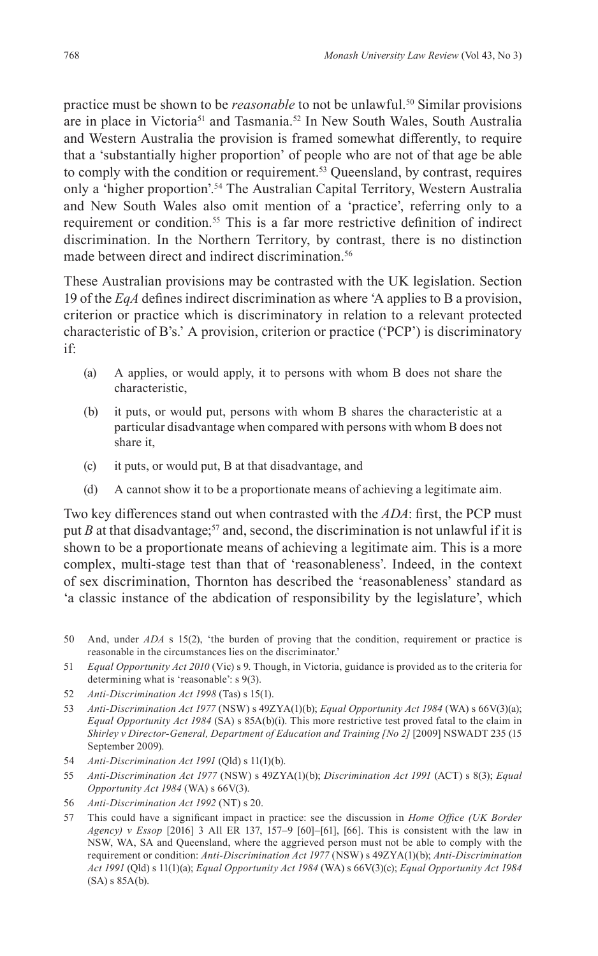practice must be shown to be *reasonable* to not be unlawful.50 Similar provisions are in place in Victoria<sup>51</sup> and Tasmania.<sup>52</sup> In New South Wales, South Australia and Western Australia the provision is framed somewhat differently, to require that a 'substantially higher proportion' of people who are not of that age be able to comply with the condition or requirement.<sup>53</sup> Queensland, by contrast, requires only a 'higher proportion'.<sup>54</sup> The Australian Capital Territory, Western Australia and New South Wales also omit mention of a 'practice', referring only to a requirement or condition.<sup>55</sup> This is a far more restrictive definition of indirect discrimination. In the Northern Territory, by contrast, there is no distinction made between direct and indirect discrimination.<sup>56</sup>

These Australian provisions may be contrasted with the UK legislation. Section 19 of the *EqA* defines indirect discrimination as where 'A applies to B a provision, criterion or practice which is discriminatory in relation to a relevant protected characteristic of B's.' A provision, criterion or practice ('PCP') is discriminatory if:

- (a) A applies, or would apply, it to persons with whom B does not share the characteristic,
- (b) it puts, or would put, persons with whom B shares the characteristic at a particular disadvantage when compared with persons with whom B does not share it,
- (c) it puts, or would put, B at that disadvantage, and
- (d) A cannot show it to be a proportionate means of achieving a legitimate aim.

Two key differences stand out when contrasted with the *ADA*: first, the PCP must put *B* at that disadvantage;<sup>57</sup> and, second, the discrimination is not unlawful if it is shown to be a proportionate means of achieving a legitimate aim. This is a more complex, multi-stage test than that of 'reasonableness'. Indeed, in the context of sex discrimination, Thornton has described the 'reasonableness' standard as 'a classic instance of the abdication of responsibility by the legislature', which

- 51 *Equal Opportunity Act 2010* (Vic) s 9. Though, in Victoria, guidance is provided as to the criteria for determining what is 'reasonable': s 9(3).
- 52 *Anti-Discrimination Act 1998* (Tas) s 15(1).
- 53 *Anti-Discrimination Act 1977* (NSW) s 49ZYA(1)(b); *Equal Opportunity Act 1984* (WA) s 66V(3)(a); *Equal Opportunity Act 1984* (SA) s 85A(b)(i). This more restrictive test proved fatal to the claim in *Shirley v Director-General, Department of Education and Training [No 2]* [2009] NSWADT 235 (15 September 2009).
- 54 *Anti-Discrimination Act 1991* (Qld) s 11(1)(b).
- 55 *Anti-Discrimination Act 1977* (NSW) s 49ZYA(1)(b); *Discrimination Act 1991* (ACT) s 8(3); *Equal Opportunity Act 1984* (WA) s 66V(3).
- 56 *Anti-Discrimination Act 1992* (NT) s 20.
- 57 This could have a significant impact in practice: see the discussion in *Home Office (UK Border Agency) v Essop* [2016] 3 All ER 137, 157–9 [60]–[61], [66]. This is consistent with the law in NSW, WA, SA and Queensland, where the aggrieved person must not be able to comply with the requirement or condition: *Anti-Discrimination Act 1977* (NSW) s 49ZYA(1)(b); *Anti-Discrimination Act 1991* (Qld) s 11(1)(a); *Equal Opportunity Act 1984* (WA) s 66V(3)(c); *Equal Opportunity Act 1984*  (SA) s 85A(b).

<sup>50</sup> And, under *ADA* s 15(2), 'the burden of proving that the condition, requirement or practice is reasonable in the circumstances lies on the discriminator.'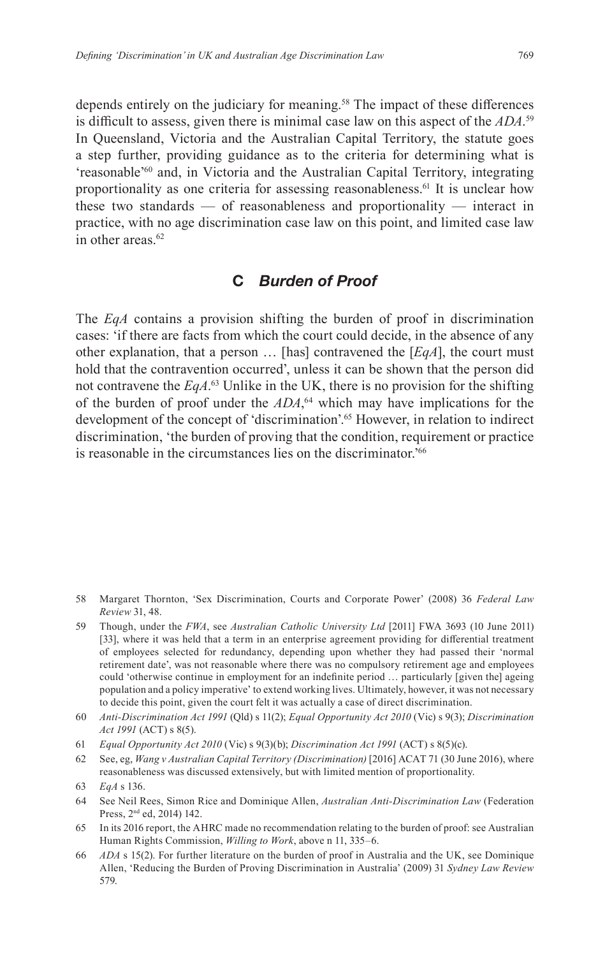depends entirely on the judiciary for meaning.<sup>58</sup> The impact of these differences is difficult to assess, given there is minimal case law on this aspect of the *ADA*. 59 In Queensland, Victoria and the Australian Capital Territory, the statute goes a step further, providing guidance as to the criteria for determining what is 'reasonable'60 and, in Victoria and the Australian Capital Territory, integrating proportionality as one criteria for assessing reasonableness.61 It is unclear how these two standards — of reasonableness and proportionality — interact in practice, with no age discrimination case law on this point, and limited case law in other areas  $62$ 

#### **C** *Burden of Proof*

The *EqA* contains a provision shifting the burden of proof in discrimination cases: 'if there are facts from which the court could decide, in the absence of any other explanation, that a person … [has] contravened the [*EqA*], the court must hold that the contravention occurred', unless it can be shown that the person did not contravene the *EqA*. <sup>63</sup> Unlike in the UK, there is no provision for the shifting of the burden of proof under the *ADA*, 64 which may have implications for the development of the concept of 'discrimination'.<sup>65</sup> However, in relation to indirect discrimination, 'the burden of proving that the condition, requirement or practice is reasonable in the circumstances lies on the discriminator.'66

62 See, eg, *Wang v Australian Capital Territory (Discrimination)* [2016] ACAT 71 (30 June 2016), where reasonableness was discussed extensively, but with limited mention of proportionality.

<sup>58</sup> Margaret Thornton, 'Sex Discrimination, Courts and Corporate Power' (2008) 36 *Federal Law Review* 31, 48.

<sup>59</sup> Though, under the *FWA*, see *Australian Catholic University Ltd* [2011] FWA 3693 (10 June 2011) [33], where it was held that a term in an enterprise agreement providing for differential treatment of employees selected for redundancy, depending upon whether they had passed their 'normal retirement date', was not reasonable where there was no compulsory retirement age and employees could 'otherwise continue in employment for an indefinite period … particularly [given the] ageing population and a policy imperative' to extend working lives. Ultimately, however, it was not necessary to decide this point, given the court felt it was actually a case of direct discrimination.

<sup>60</sup> *Anti-Discrimination Act 1991* (Qld) s 11(2); *Equal Opportunity Act 2010* (Vic) s 9(3); *Discrimination Act 1991* (ACT) s 8(5).

<sup>61</sup> *Equal Opportunity Act 2010* (Vic) s 9(3)(b); *Discrimination Act 1991* (ACT) s 8(5)(c).

<sup>63</sup> *EqA* s 136.

<sup>64</sup> See Neil Rees, Simon Rice and Dominique Allen, *Australian Anti-Discrimination Law* (Federation Press, 2nd ed, 2014) 142.

<sup>65</sup> In its 2016 report, the AHRC made no recommendation relating to the burden of proof: see Australian Human Rights Commission, *Willing to Work*, above n 11, 335–6.

<sup>66</sup> *ADA* s 15(2). For further literature on the burden of proof in Australia and the UK, see Dominique Allen, 'Reducing the Burden of Proving Discrimination in Australia' (2009) 31 *Sydney Law Review* 579.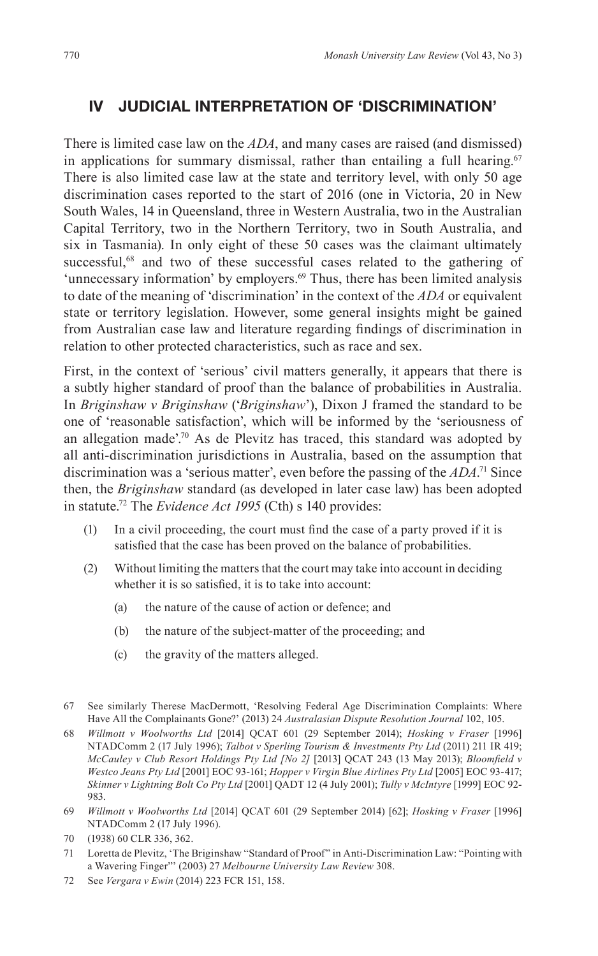## **IV JUDICIAL INTERPRETATION OF 'DISCRIMINATION'**

There is limited case law on the *ADA*, and many cases are raised (and dismissed) in applications for summary dismissal, rather than entailing a full hearing.<sup>67</sup> There is also limited case law at the state and territory level, with only 50 age discrimination cases reported to the start of 2016 (one in Victoria, 20 in New South Wales, 14 in Queensland, three in Western Australia, two in the Australian Capital Territory, two in the Northern Territory, two in South Australia, and six in Tasmania). In only eight of these 50 cases was the claimant ultimately successful,<sup>68</sup> and two of these successful cases related to the gathering of 'unnecessary information' by employers.<sup>69</sup> Thus, there has been limited analysis to date of the meaning of 'discrimination' in the context of the *ADA* or equivalent state or territory legislation. However, some general insights might be gained from Australian case law and literature regarding findings of discrimination in relation to other protected characteristics, such as race and sex.

First, in the context of 'serious' civil matters generally, it appears that there is a subtly higher standard of proof than the balance of probabilities in Australia. In *Briginshaw v Briginshaw* ('*Briginshaw*'), Dixon J framed the standard to be one of 'reasonable satisfaction', which will be informed by the 'seriousness of an allegation made'.<sup>70</sup> As de Plevitz has traced, this standard was adopted by all anti-discrimination jurisdictions in Australia, based on the assumption that discrimination was a 'serious matter', even before the passing of the *ADA*. 71 Since then, the *Briginshaw* standard (as developed in later case law) has been adopted in statute.72 The *Evidence Act 1995* (Cth) s 140 provides:

- (1) In a civil proceeding, the court must find the case of a party proved if it is satisfied that the case has been proved on the balance of probabilities.
- (2) Without limiting the matters that the court may take into account in deciding whether it is so satisfied, it is to take into account:
	- (a) the nature of the cause of action or defence; and
	- (b) the nature of the subject-matter of the proceeding; and
	- (c) the gravity of the matters alleged.
- 67 See similarly Therese MacDermott, 'Resolving Federal Age Discrimination Complaints: Where Have All the Complainants Gone?' (2013) 24 *Australasian Dispute Resolution Journal* 102, 105.
- 68 *Willmott v Woolworths Ltd* [2014] QCAT 601 (29 September 2014); *Hosking v Fraser* [1996] NTADComm 2 (17 July 1996); *Talbot v Sperling Tourism & Investments Pty Ltd* (2011) 211 IR 419; *McCauley v Club Resort Holdings Pty Ltd [No 2]* [2013] QCAT 243 (13 May 2013); *Bloomfield v Westco Jeans Pty Ltd* [2001] EOC 93-161; *Hopper v Virgin Blue Airlines Pty Ltd* [2005] EOC 93-417; *Skinner v Lightning Bolt Co Pty Ltd* [2001] QADT 12 (4 July 2001); *Tully v McIntyre* [1999] EOC 92- 983.
- 69 *Willmott v Woolworths Ltd* [2014] QCAT 601 (29 September 2014) [62]; *Hosking v Fraser* [1996] NTADComm 2 (17 July 1996).
- 70 (1938) 60 CLR 336, 362.
- 71 Loretta de Plevitz, 'The Briginshaw "Standard of Proof" in Anti-Discrimination Law: "Pointing with a Wavering Finger"' (2003) 27 *Melbourne University Law Review* 308.
- 72 See *Vergara v Ewin* (2014) 223 FCR 151, 158.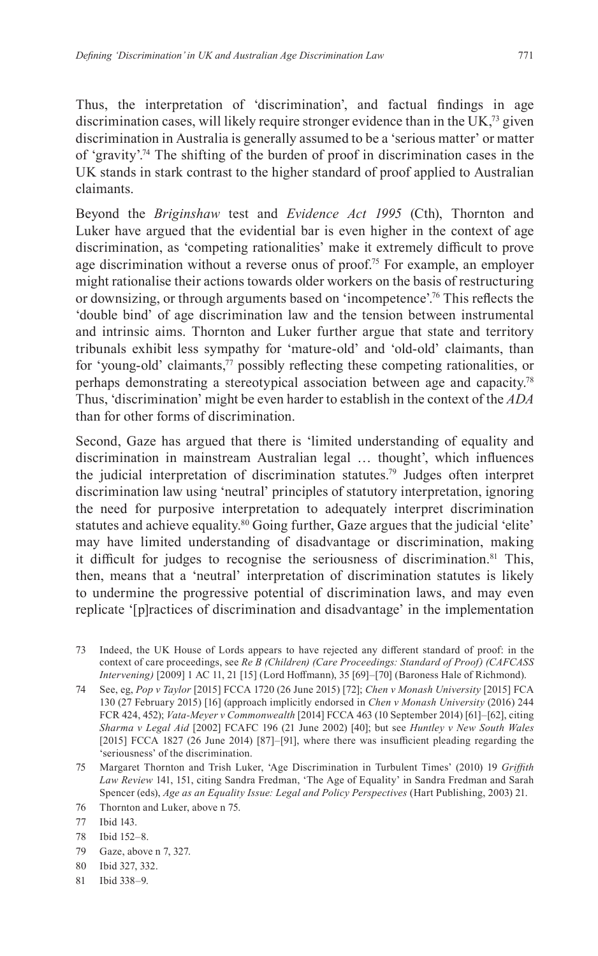Thus, the interpretation of 'discrimination', and factual findings in age discrimination cases, will likely require stronger evidence than in the UK,73 given discrimination in Australia is generally assumed to be a 'serious matter' or matter of 'gravity'.74 The shifting of the burden of proof in discrimination cases in the UK stands in stark contrast to the higher standard of proof applied to Australian claimants.

Beyond the *Briginshaw* test and *Evidence Act 1995* (Cth), Thornton and Luker have argued that the evidential bar is even higher in the context of age discrimination, as 'competing rationalities' make it extremely difficult to prove age discrimination without a reverse onus of proof.<sup>75</sup> For example, an employer might rationalise their actions towards older workers on the basis of restructuring or downsizing, or through arguments based on 'incompetence'.76 This reflects the 'double bind' of age discrimination law and the tension between instrumental and intrinsic aims. Thornton and Luker further argue that state and territory tribunals exhibit less sympathy for 'mature-old' and 'old-old' claimants, than for 'young-old' claimants, $77$  possibly reflecting these competing rationalities, or perhaps demonstrating a stereotypical association between age and capacity.78 Thus, 'discrimination' might be even harder to establish in the context of the *ADA* than for other forms of discrimination.

Second, Gaze has argued that there is 'limited understanding of equality and discrimination in mainstream Australian legal … thought', which influences the judicial interpretation of discrimination statutes.79 Judges often interpret discrimination law using 'neutral' principles of statutory interpretation, ignoring the need for purposive interpretation to adequately interpret discrimination statutes and achieve equality.<sup>80</sup> Going further, Gaze argues that the judicial 'elite' may have limited understanding of disadvantage or discrimination, making it difficult for judges to recognise the seriousness of discrimination.<sup>81</sup> This, then, means that a 'neutral' interpretation of discrimination statutes is likely to undermine the progressive potential of discrimination laws, and may even replicate '[p]ractices of discrimination and disadvantage' in the implementation

- 73 Indeed, the UK House of Lords appears to have rejected any different standard of proof: in the context of care proceedings, see *Re B (Children) (Care Proceedings: Standard of Proof) (CAFCASS Intervening)* [2009] 1 AC 11, 21 [15] (Lord Hoffmann), 35 [69]–[70] (Baroness Hale of Richmond).
- 74 See, eg, *Pop v Taylor* [2015] FCCA 1720 (26 June 2015) [72]; *Chen v Monash University* [2015] FCA 130 (27 February 2015) [16] (approach implicitly endorsed in *Chen v Monash University* (2016) 244 FCR 424, 452); *Vata-Meyer v Commonwealth* [2014] FCCA 463 (10 September 2014) [61]–[62], citing *Sharma v Legal Aid* [2002] FCAFC 196 (21 June 2002) [40]; but see *Huntley v New South Wales*  [2015] FCCA 1827 (26 June 2014) [87]–[91], where there was insufficient pleading regarding the 'seriousness' of the discrimination.
- 75 Margaret Thornton and Trish Luker, 'Age Discrimination in Turbulent Times' (2010) 19 *Griffith Law Review* 141, 151, citing Sandra Fredman, 'The Age of Equality' in Sandra Fredman and Sarah Spencer (eds), *Age as an Equality Issue: Legal and Policy Perspectives* (Hart Publishing, 2003) 21.
- 76 Thornton and Luker, above n 75.
- 77 Ibid 143.
- 78 Ibid 152–8.
- 79 Gaze, above n 7, 327.
- 80 Ibid 327, 332.
- 81 Ibid 338–9.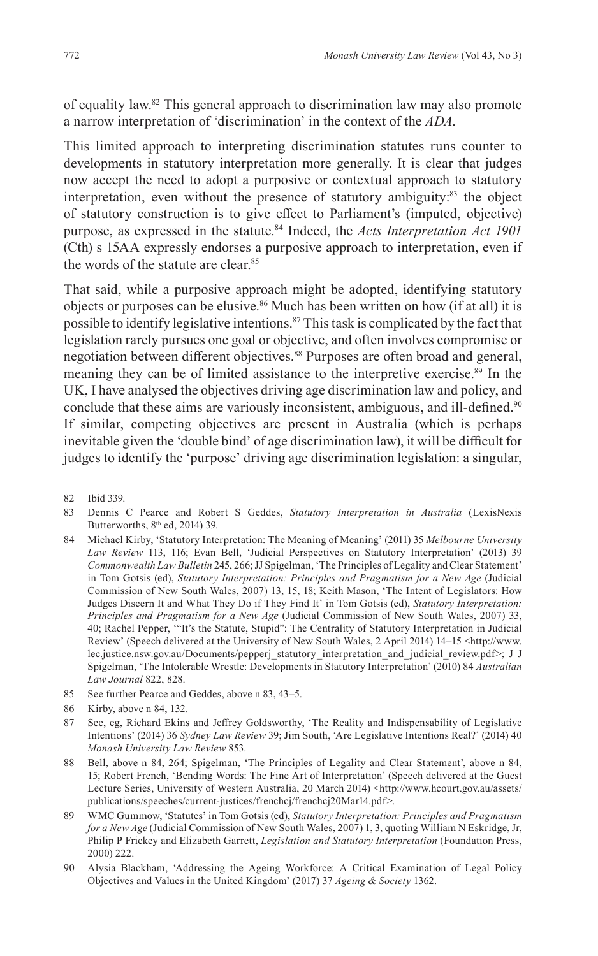of equality law.82 This general approach to discrimination law may also promote a narrow interpretation of 'discrimination' in the context of the *ADA*.

This limited approach to interpreting discrimination statutes runs counter to developments in statutory interpretation more generally. It is clear that judges now accept the need to adopt a purposive or contextual approach to statutory interpretation, even without the presence of statutory ambiguity:<sup>83</sup> the object of statutory construction is to give effect to Parliament's (imputed, objective) purpose, as expressed in the statute.84 Indeed, the *Acts Interpretation Act 1901* (Cth) s 15AA expressly endorses a purposive approach to interpretation, even if the words of the statute are clear.<sup>85</sup>

That said, while a purposive approach might be adopted, identifying statutory objects or purposes can be elusive.<sup>86</sup> Much has been written on how (if at all) it is possible to identify legislative intentions. $87$  This task is complicated by the fact that legislation rarely pursues one goal or objective, and often involves compromise or negotiation between different objectives.<sup>88</sup> Purposes are often broad and general, meaning they can be of limited assistance to the interpretive exercise.<sup>89</sup> In the UK, I have analysed the objectives driving age discrimination law and policy, and conclude that these aims are variously inconsistent, ambiguous, and ill-defined.<sup>90</sup> If similar, competing objectives are present in Australia (which is perhaps inevitable given the 'double bind' of age discrimination law), it will be difficult for judges to identify the 'purpose' driving age discrimination legislation: a singular,

- 83 Dennis C Pearce and Robert S Geddes, *Statutory Interpretation in Australia* (LexisNexis Butterworths,  $8<sup>th</sup>$  ed, 2014) 39.
- 84 Michael Kirby, 'Statutory Interpretation: The Meaning of Meaning' (2011) 35 *Melbourne University Law Review* 113, 116; Evan Bell, 'Judicial Perspectives on Statutory Interpretation' (2013) 39 *Commonwealth Law Bulletin* 245, 266; JJ Spigelman, 'The Principles of Legality and Clear Statement' in Tom Gotsis (ed), *Statutory Interpretation: Principles and Pragmatism for a New Age* (Judicial Commission of New South Wales, 2007) 13, 15, 18; Keith Mason, 'The Intent of Legislators: How Judges Discern It and What They Do if They Find It' in Tom Gotsis (ed), *Statutory Interpretation: Principles and Pragmatism for a New Age* (Judicial Commission of New South Wales, 2007) 33, 40; Rachel Pepper, '"It's the Statute, Stupid": The Centrality of Statutory Interpretation in Judicial Review' (Speech delivered at the University of New South Wales, 2 April 2014) 14–15 <http://www. lec.justice.nsw.gov.au/Documents/pepperj\_statutory\_interpretation\_and\_judicial\_review.pdf>; J J Spigelman, 'The Intolerable Wrestle: Developments in Statutory Interpretation' (2010) 84 *Australian Law Journal* 822, 828.
- 85 See further Pearce and Geddes, above n 83, 43–5.
- 86 Kirby, above n 84, 132.
- 87 See, eg, Richard Ekins and Jeffrey Goldsworthy, 'The Reality and Indispensability of Legislative Intentions' (2014) 36 *Sydney Law Review* 39; Jim South, 'Are Legislative Intentions Real?' (2014) 40 *Monash University Law Review* 853.
- 88 Bell, above n 84, 264; Spigelman, 'The Principles of Legality and Clear Statement', above n 84, 15; Robert French, 'Bending Words: The Fine Art of Interpretation' (Speech delivered at the Guest Lecture Series, University of Western Australia, 20 March 2014) <http://www.hcourt.gov.au/assets/ publications/speeches/current-justices/frenchcj/frenchcj20Mar14.pdf>.
- 89 WMC Gummow, 'Statutes' in Tom Gotsis (ed), *Statutory Interpretation: Principles and Pragmatism for a New Age* (Judicial Commission of New South Wales, 2007) 1, 3, quoting William N Eskridge, Jr, Philip P Frickey and Elizabeth Garrett, *Legislation and Statutory Interpretation* (Foundation Press, 2000) 222.
- 90 Alysia Blackham, 'Addressing the Ageing Workforce: A Critical Examination of Legal Policy Objectives and Values in the United Kingdom' (2017) 37 *Ageing & Society* 1362.

<sup>82</sup> Ibid 339.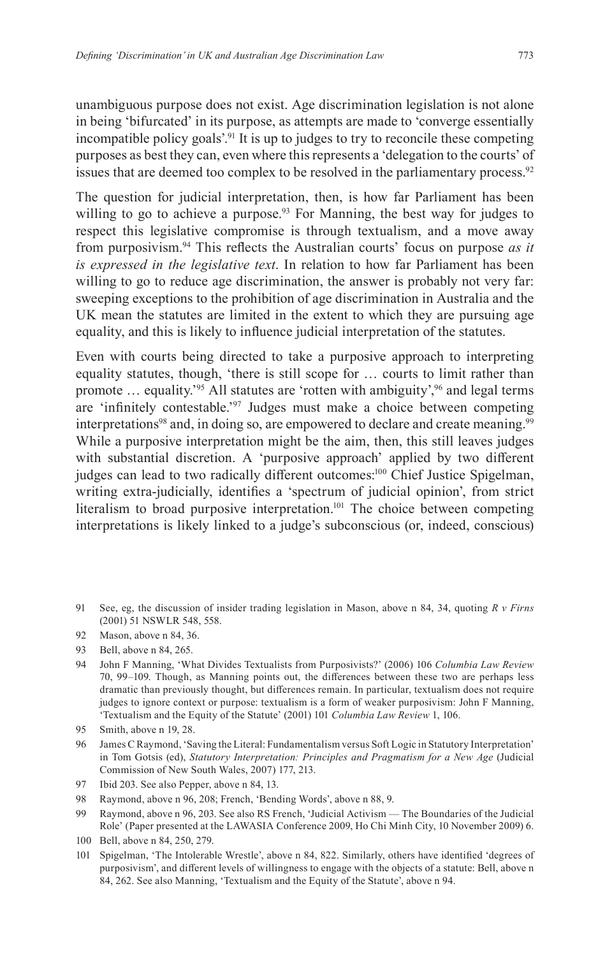unambiguous purpose does not exist. Age discrimination legislation is not alone in being 'bifurcated' in its purpose, as attempts are made to 'converge essentially incompatible policy goals<sup>'.91</sup> It is up to judges to try to reconcile these competing purposes as best they can, even where this represents a 'delegation to the courts' of issues that are deemed too complex to be resolved in the parliamentary process.<sup>92</sup>

The question for judicial interpretation, then, is how far Parliament has been willing to go to achieve a purpose.<sup>93</sup> For Manning, the best way for judges to respect this legislative compromise is through textualism, and a move away from purposivism.94 This reflects the Australian courts' focus on purpose *as it is expressed in the legislative text*. In relation to how far Parliament has been willing to go to reduce age discrimination, the answer is probably not very far: sweeping exceptions to the prohibition of age discrimination in Australia and the UK mean the statutes are limited in the extent to which they are pursuing age equality, and this is likely to influence judicial interpretation of the statutes.

Even with courts being directed to take a purposive approach to interpreting equality statutes, though, 'there is still scope for … courts to limit rather than promote  $\ldots$  equality.<sup>95</sup> All statutes are 'rotten with ambiguity',<sup>96</sup> and legal terms are 'infinitely contestable.'97 Judges must make a choice between competing interpretations<sup>98</sup> and, in doing so, are empowered to declare and create meaning.<sup>99</sup> While a purposive interpretation might be the aim, then, this still leaves judges with substantial discretion. A 'purposive approach' applied by two different judges can lead to two radically different outcomes:<sup>100</sup> Chief Justice Spigelman, writing extra-judicially, identifies a 'spectrum of judicial opinion', from strict literalism to broad purposive interpretation.<sup>101</sup> The choice between competing interpretations is likely linked to a judge's subconscious (or, indeed, conscious)

91 See, eg, the discussion of insider trading legislation in Mason, above n 84, 34, quoting *R v Firns* (2001) 51 NSWLR 548, 558.

- 93 Bell, above n 84, 265.
- 94 John F Manning, 'What Divides Textualists from Purposivists?' (2006) 106 *Columbia Law Review* 70, 99–109. Though, as Manning points out, the differences between these two are perhaps less dramatic than previously thought, but differences remain. In particular, textualism does not require judges to ignore context or purpose: textualism is a form of weaker purposivism: John F Manning, 'Textualism and the Equity of the Statute' (2001) 101 *Columbia Law Review* 1, 106.
- 95 Smith, above n 19, 28.
- 96 James C Raymond, 'Saving the Literal: Fundamentalism versus Soft Logic in Statutory Interpretation' in Tom Gotsis (ed), *Statutory Interpretation: Principles and Pragmatism for a New Age* (Judicial Commission of New South Wales, 2007) 177, 213.
- 97 Ibid 203. See also Pepper, above n 84, 13.
- 98 Raymond, above n 96, 208; French, 'Bending Words', above n 88, 9.
- 99 Raymond, above n 96, 203. See also RS French, 'Judicial Activism The Boundaries of the Judicial Role' (Paper presented at the LAWASIA Conference 2009, Ho Chi Minh City, 10 November 2009) 6.
- 100 Bell, above n 84, 250, 279.
- 101 Spigelman, 'The Intolerable Wrestle', above n 84, 822. Similarly, others have identified 'degrees of purposivism', and different levels of willingness to engage with the objects of a statute: Bell, above n 84, 262. See also Manning, 'Textualism and the Equity of the Statute', above n 94.

<sup>92</sup> Mason, above n 84, 36.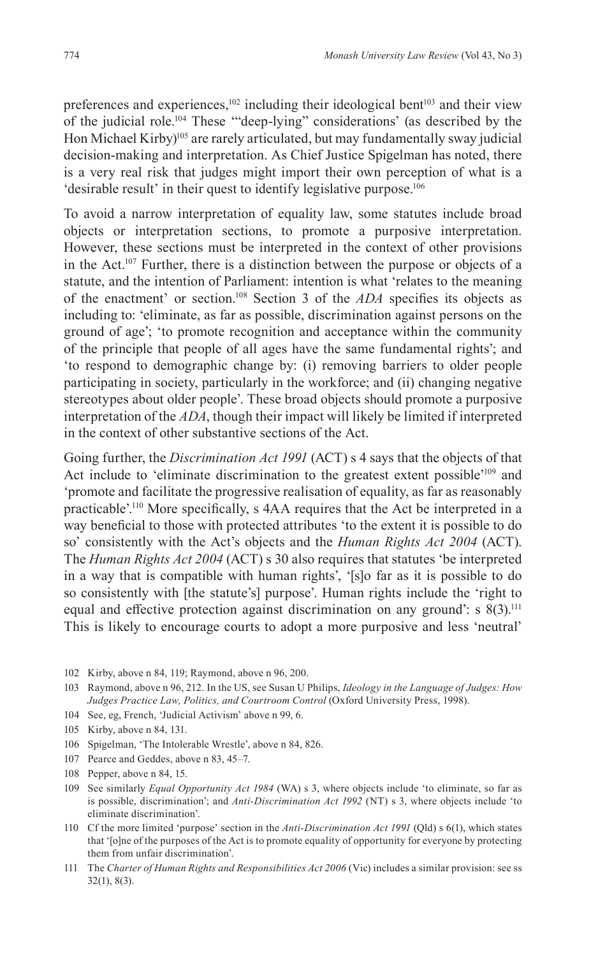preferences and experiences, $102$  including their ideological bent<sup>103</sup> and their view of the judicial role.104 These '"deep-lying" considerations' (as described by the Hon Michael Kirby)<sup>105</sup> are rarely articulated, but may fundamentally sway judicial decision-making and interpretation. As Chief Justice Spigelman has noted, there is a very real risk that judges might import their own perception of what is a 'desirable result' in their quest to identify legislative purpose.<sup>106</sup>

To avoid a narrow interpretation of equality law, some statutes include broad objects or interpretation sections, to promote a purposive interpretation. However, these sections must be interpreted in the context of other provisions in the Act.107 Further, there is a distinction between the purpose or objects of a statute, and the intention of Parliament: intention is what 'relates to the meaning of the enactment' or section.108 Section 3 of the *ADA* specifies its objects as including to: 'eliminate, as far as possible, discrimination against persons on the ground of age'; 'to promote recognition and acceptance within the community of the principle that people of all ages have the same fundamental rights'; and 'to respond to demographic change by: (i) removing barriers to older people participating in society, particularly in the workforce; and (ii) changing negative stereotypes about older people'. These broad objects should promote a purposive interpretation of the *ADA*, though their impact will likely be limited if interpreted in the context of other substantive sections of the Act.

Going further, the *Discrimination Act 1991* (ACT) s 4 says that the objects of that Act include to 'eliminate discrimination to the greatest extent possible'109 and 'promote and facilitate the progressive realisation of equality, as far as reasonably practicable'.110 More specifically, s 4AA requires that the Act be interpreted in a way beneficial to those with protected attributes 'to the extent it is possible to do so' consistently with the Act's objects and the *Human Rights Act 2004* (ACT). The *Human Rights Act 2004* (ACT) s 30 also requires that statutes 'be interpreted in a way that is compatible with human rights', '[s]o far as it is possible to do so consistently with [the statute's] purpose'. Human rights include the 'right to equal and effective protection against discrimination on any ground': s  $8(3)$ .<sup>111</sup> This is likely to encourage courts to adopt a more purposive and less 'neutral'

- 102 Kirby, above n 84, 119; Raymond, above n 96, 200.
- 103 Raymond, above n 96, 212. In the US, see Susan U Philips, *Ideology in the Language of Judges: How Judges Practice Law, Politics, and Courtroom Control* (Oxford University Press, 1998).
- 104 See, eg, French, 'Judicial Activism' above n 99, 6.
- 105 Kirby, above n 84, 131.
- 106 Spigelman, 'The Intolerable Wrestle', above n 84, 826.
- 107 Pearce and Geddes, above n 83, 45–7.
- 108 Pepper, above n 84, 15.
- 109 See similarly *Equal Opportunity Act 1984* (WA) s 3, where objects include 'to eliminate, so far as is possible, discrimination'; and *Anti-Discrimination Act 1992* (NT) s 3, where objects include 'to eliminate discrimination'.
- 110 Cf the more limited 'purpose' section in the *Anti-Discrimination Act 1991* (Qld) s 6(1), which states that '[o]ne of the purposes of the Act is to promote equality of opportunity for everyone by protecting them from unfair discrimination'.
- 111 The *Charter of Human Rights and Responsibilities Act 2006* (Vic) includes a similar provision: see ss 32(1), 8(3).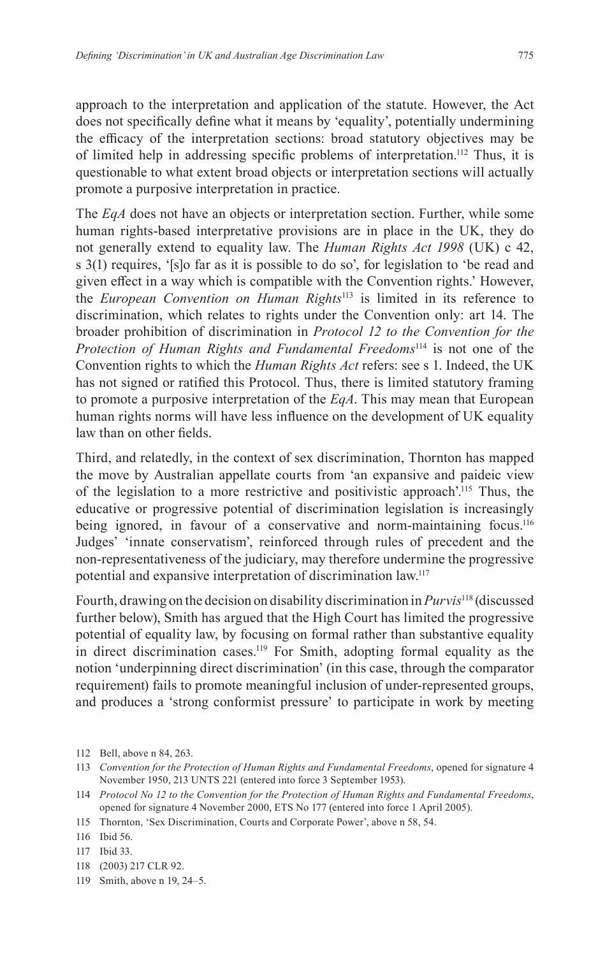approach to the interpretation and application of the statute. However, the Act does not specifically define what it means by 'equality', potentially undermining the efficacy of the interpretation sections: broad statutory objectives may be of limited help in addressing specific problems of interpretation.<sup>112</sup> Thus, it is questionable to what extent broad objects or interpretation sections will actually promote a purposive interpretation in practice.

The *EqA* does not have an objects or interpretation section. Further, while some human rights-based interpretative provisions are in place in the UK, they do not generally extend to equality law. The *Human Rights Act 1998* (UK) c 42, s 3(1) requires, '[s]o far as it is possible to do so', for legislation to 'be read and given effect in a way which is compatible with the Convention rights.' However, the *European Convention on Human Rights*113 is limited in its reference to discrimination, which relates to rights under the Convention only: art 14. The broader prohibition of discrimination in *Protocol 12 to the Convention for the Protection of Human Rights and Fundamental Freedoms*114 is not one of the Convention rights to which the *Human Rights Act* refers: see s 1. Indeed, the UK has not signed or ratified this Protocol. Thus, there is limited statutory framing to promote a purposive interpretation of the *EqA*. This may mean that European human rights norms will have less influence on the development of UK equality law than on other fields.

Third, and relatedly, in the context of sex discrimination, Thornton has mapped the move by Australian appellate courts from 'an expansive and paideic view of the legislation to a more restrictive and positivistic approach'.115 Thus, the educative or progressive potential of discrimination legislation is increasingly being ignored, in favour of a conservative and norm-maintaining focus.<sup>116</sup> Judges' 'innate conservatism', reinforced through rules of precedent and the non-representativeness of the judiciary, may therefore undermine the progressive potential and expansive interpretation of discrimination law.117

Fourth, drawing on the decision on disability discrimination in *Purvis*<sup>118</sup> (discussed further below), Smith has argued that the High Court has limited the progressive potential of equality law, by focusing on formal rather than substantive equality in direct discrimination cases.<sup>119</sup> For Smith, adopting formal equality as the notion 'underpinning direct discrimination' (in this case, through the comparator requirement) fails to promote meaningful inclusion of under-represented groups, and produces a 'strong conformist pressure' to participate in work by meeting

- 118 (2003) 217 CLR 92.
- 119 Smith, above n 19, 24–5.

<sup>112</sup> Bell, above n 84, 263.

<sup>113</sup> *Convention for the Protection of Human Rights and Fundamental Freedoms*, opened for signature 4 November 1950, 213 UNTS 221 (entered into force 3 September 1953).

<sup>114</sup> *Protocol No 12 to the Convention for the Protection of Human Rights and Fundamental Freedoms*, opened for signature 4 November 2000, ETS No 177 (entered into force 1 April 2005).

<sup>115</sup> Thornton, 'Sex Discrimination, Courts and Corporate Power', above n 58, 54.

<sup>116</sup> Ibid 56.

<sup>117</sup> Ibid 33.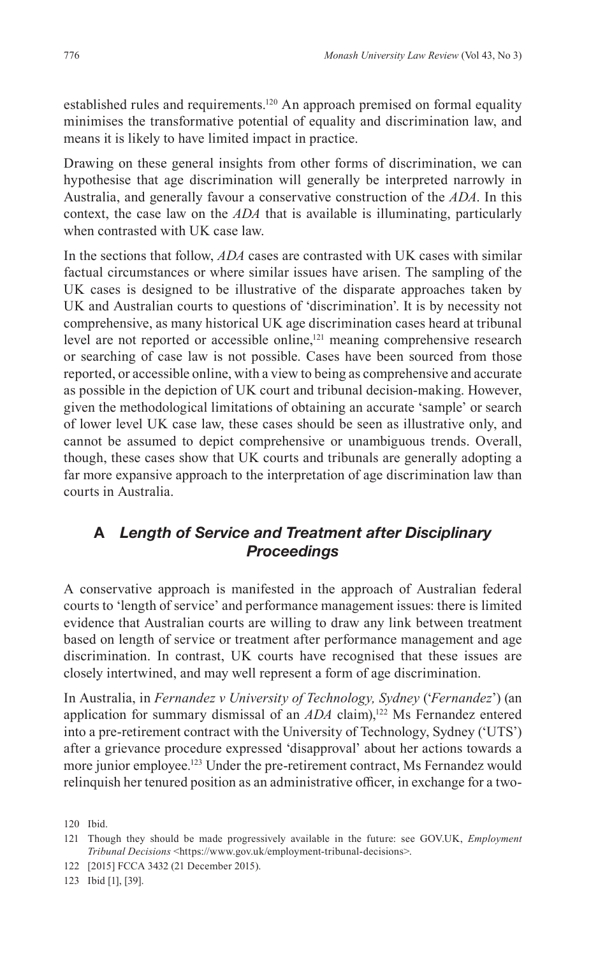established rules and requirements.<sup>120</sup> An approach premised on formal equality minimises the transformative potential of equality and discrimination law, and means it is likely to have limited impact in practice.

Drawing on these general insights from other forms of discrimination, we can hypothesise that age discrimination will generally be interpreted narrowly in Australia, and generally favour a conservative construction of the *ADA*. In this context, the case law on the *ADA* that is available is illuminating, particularly when contrasted with UK case law.

In the sections that follow, *ADA* cases are contrasted with UK cases with similar factual circumstances or where similar issues have arisen. The sampling of the UK cases is designed to be illustrative of the disparate approaches taken by UK and Australian courts to questions of 'discrimination'. It is by necessity not comprehensive, as many historical UK age discrimination cases heard at tribunal level are not reported or accessible online,<sup>121</sup> meaning comprehensive research or searching of case law is not possible. Cases have been sourced from those reported, or accessible online, with a view to being as comprehensive and accurate as possible in the depiction of UK court and tribunal decision-making. However, given the methodological limitations of obtaining an accurate 'sample' or search of lower level UK case law, these cases should be seen as illustrative only, and cannot be assumed to depict comprehensive or unambiguous trends. Overall, though, these cases show that UK courts and tribunals are generally adopting a far more expansive approach to the interpretation of age discrimination law than courts in Australia.

# **A** *Length of Service and Treatment after Disciplinary Proceedings*

A conservative approach is manifested in the approach of Australian federal courts to 'length of service' and performance management issues: there is limited evidence that Australian courts are willing to draw any link between treatment based on length of service or treatment after performance management and age discrimination. In contrast, UK courts have recognised that these issues are closely intertwined, and may well represent a form of age discrimination.

In Australia, in *Fernandez v University of Technology, Sydney* ('*Fernandez*') (an application for summary dismissal of an *ADA* claim),<sup>122</sup> Ms Fernandez entered into a pre-retirement contract with the University of Technology, Sydney ('UTS') after a grievance procedure expressed 'disapproval' about her actions towards a more junior employee.<sup>123</sup> Under the pre-retirement contract, Ms Fernandez would relinquish her tenured position as an administrative officer, in exchange for a two-

123 Ibid [1], [39].

<sup>120</sup> Ibid.

<sup>121</sup> Though they should be made progressively available in the future: see GOV.UK, *Employment Tribunal Decisions* <https://www.gov.uk/employment-tribunal-decisions>.

<sup>122</sup> [2015] FCCA 3432 (21 December 2015).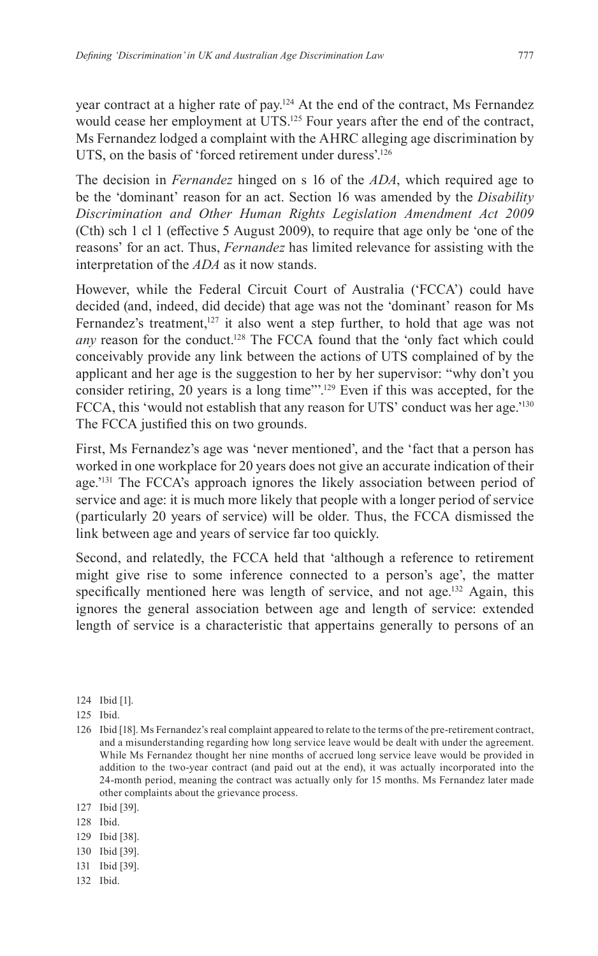year contract at a higher rate of pay.124 At the end of the contract, Ms Fernandez would cease her employment at UTS.<sup>125</sup> Four years after the end of the contract, Ms Fernandez lodged a complaint with the AHRC alleging age discrimination by UTS, on the basis of 'forced retirement under duress'.<sup>126</sup>

The decision in *Fernandez* hinged on s 16 of the *ADA*, which required age to be the 'dominant' reason for an act. Section 16 was amended by the *Disability Discrimination and Other Human Rights Legislation Amendment Act 2009* (Cth) sch 1 cl 1 (effective 5 August 2009), to require that age only be 'one of the reasons' for an act. Thus, *Fernandez* has limited relevance for assisting with the interpretation of the *ADA* as it now stands.

However, while the Federal Circuit Court of Australia ('FCCA') could have decided (and, indeed, did decide) that age was not the 'dominant' reason for Ms Fernandez's treatment,<sup>127</sup> it also went a step further, to hold that age was not *any* reason for the conduct.128 The FCCA found that the 'only fact which could conceivably provide any link between the actions of UTS complained of by the applicant and her age is the suggestion to her by her supervisor: "why don't you consider retiring, 20 years is a long time"'.129 Even if this was accepted, for the FCCA, this 'would not establish that any reason for UTS' conduct was her age.<sup>'130</sup> The FCCA justified this on two grounds.

First, Ms Fernandez's age was 'never mentioned', and the 'fact that a person has worked in one workplace for 20 years does not give an accurate indication of their age.'131 The FCCA's approach ignores the likely association between period of service and age: it is much more likely that people with a longer period of service (particularly 20 years of service) will be older. Thus, the FCCA dismissed the link between age and years of service far too quickly.

Second, and relatedly, the FCCA held that 'although a reference to retirement might give rise to some inference connected to a person's age', the matter specifically mentioned here was length of service, and not age.<sup>132</sup> Again, this ignores the general association between age and length of service: extended length of service is a characteristic that appertains generally to persons of an

- 129 Ibid [38].
- 130 Ibid [39].
- 131 Ibid [39].
- 132 Ibid.

<sup>124</sup> Ibid [1].

<sup>125</sup> Ibid.

<sup>126</sup> Ibid [18]. Ms Fernandez's real complaint appeared to relate to the terms of the pre-retirement contract, and a misunderstanding regarding how long service leave would be dealt with under the agreement. While Ms Fernandez thought her nine months of accrued long service leave would be provided in addition to the two-year contract (and paid out at the end), it was actually incorporated into the 24-month period, meaning the contract was actually only for 15 months. Ms Fernandez later made other complaints about the grievance process.

<sup>127</sup> Ibid [39].

<sup>128</sup> Ibid.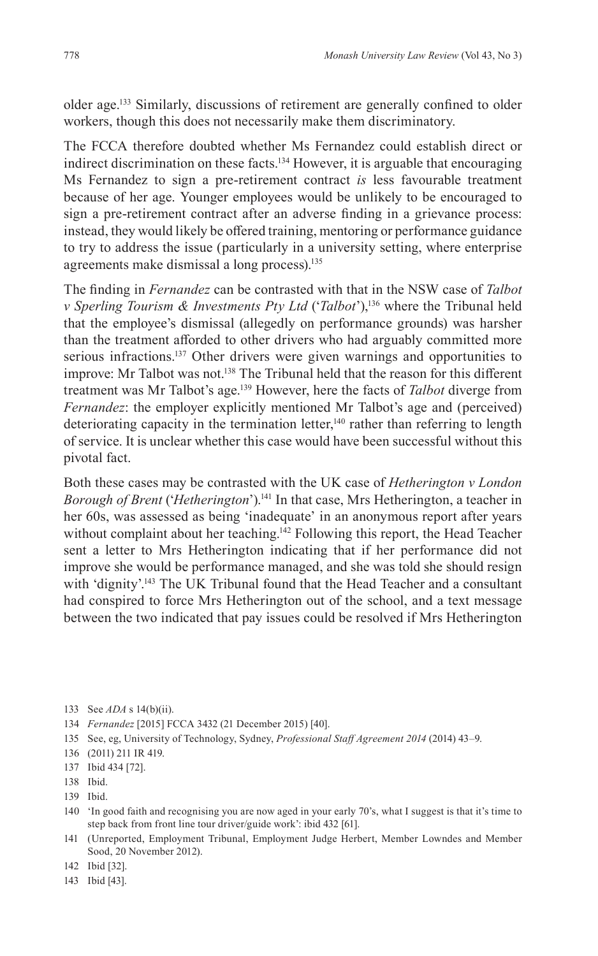older age.133 Similarly, discussions of retirement are generally confined to older workers, though this does not necessarily make them discriminatory.

The FCCA therefore doubted whether Ms Fernandez could establish direct or indirect discrimination on these facts.<sup>134</sup> However, it is arguable that encouraging Ms Fernandez to sign a pre-retirement contract *is* less favourable treatment because of her age. Younger employees would be unlikely to be encouraged to sign a pre-retirement contract after an adverse finding in a grievance process: instead, they would likely be offered training, mentoring or performance guidance to try to address the issue (particularly in a university setting, where enterprise agreements make dismissal a long process).<sup>135</sup>

The finding in *Fernandez* can be contrasted with that in the NSW case of *Talbot v Sperling Tourism & Investments Pty Ltd* ('*Talbot*'),136 where the Tribunal held that the employee's dismissal (allegedly on performance grounds) was harsher than the treatment afforded to other drivers who had arguably committed more serious infractions.<sup>137</sup> Other drivers were given warnings and opportunities to improve: Mr Talbot was not.<sup>138</sup> The Tribunal held that the reason for this different treatment was Mr Talbot's age.139 However, here the facts of *Talbot* diverge from *Fernandez*: the employer explicitly mentioned Mr Talbot's age and (perceived) deteriorating capacity in the termination letter,<sup>140</sup> rather than referring to length of service. It is unclear whether this case would have been successful without this pivotal fact.

Both these cases may be contrasted with the UK case of *Hetherington v London Borough of Brent* ('*Hetherington*').141 In that case, Mrs Hetherington, a teacher in her 60s, was assessed as being 'inadequate' in an anonymous report after years without complaint about her teaching.<sup>142</sup> Following this report, the Head Teacher sent a letter to Mrs Hetherington indicating that if her performance did not improve she would be performance managed, and she was told she should resign with 'dignity'.<sup>143</sup> The UK Tribunal found that the Head Teacher and a consultant had conspired to force Mrs Hetherington out of the school, and a text message between the two indicated that pay issues could be resolved if Mrs Hetherington

137 Ibid 434 [72].

142 Ibid [32].

143 Ibid [43].

<sup>133</sup> See *ADA* s 14(b)(ii).

<sup>134</sup> *Fernandez* [2015] FCCA 3432 (21 December 2015) [40].

<sup>135</sup> See, eg, University of Technology, Sydney, *Professional Staff Agreement 2014* (2014) 43–9.

<sup>136</sup> (2011) 211 IR 419.

<sup>138</sup> Ibid.

<sup>139</sup> Ibid.

<sup>140</sup> 'In good faith and recognising you are now aged in your early 70's, what I suggest is that it's time to step back from front line tour driver/guide work': ibid 432 [61].

<sup>141</sup> (Unreported, Employment Tribunal, Employment Judge Herbert, Member Lowndes and Member Sood, 20 November 2012).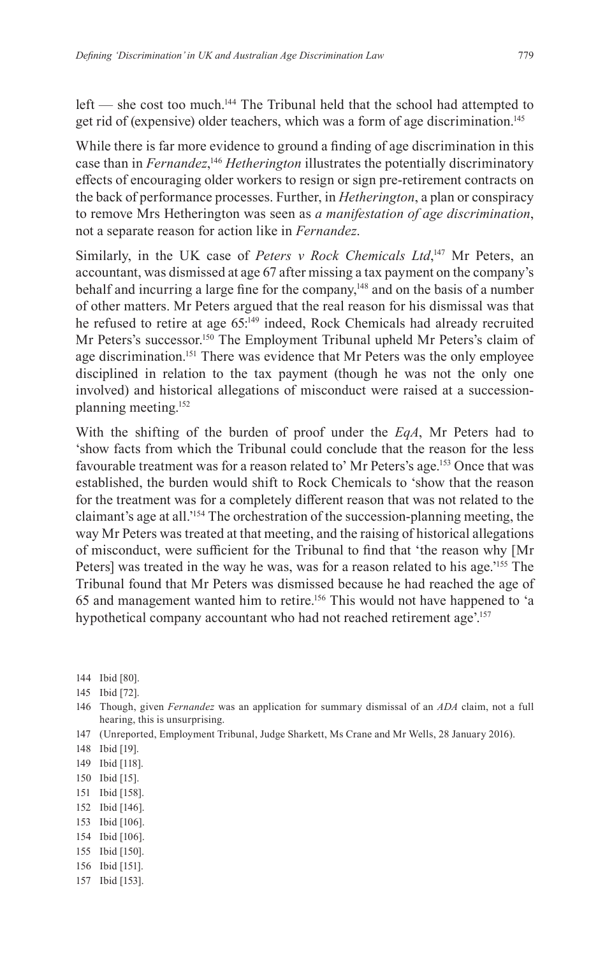left — she cost too much.<sup>144</sup> The Tribunal held that the school had attempted to get rid of (expensive) older teachers, which was a form of age discrimination.145

While there is far more evidence to ground a finding of age discrimination in this case than in *Fernandez*, <sup>146</sup> *Hetherington* illustrates the potentially discriminatory effects of encouraging older workers to resign or sign pre-retirement contracts on the back of performance processes. Further, in *Hetherington*, a plan or conspiracy to remove Mrs Hetherington was seen as *a manifestation of age discrimination*, not a separate reason for action like in *Fernandez*.

Similarly, in the UK case of *Peters v Rock Chemicals Ltd*,<sup>147</sup> Mr Peters, an accountant, was dismissed at age 67 after missing a tax payment on the company's behalf and incurring a large fine for the company,<sup>148</sup> and on the basis of a number of other matters. Mr Peters argued that the real reason for his dismissal was that he refused to retire at age 65:<sup>149</sup> indeed, Rock Chemicals had already recruited Mr Peters's successor.<sup>150</sup> The Employment Tribunal upheld Mr Peters's claim of age discrimination.<sup>151</sup> There was evidence that Mr Peters was the only employee disciplined in relation to the tax payment (though he was not the only one involved) and historical allegations of misconduct were raised at a successionplanning meeting.152

With the shifting of the burden of proof under the *EqA*, Mr Peters had to 'show facts from which the Tribunal could conclude that the reason for the less favourable treatment was for a reason related to' Mr Peters's age.<sup>153</sup> Once that was established, the burden would shift to Rock Chemicals to 'show that the reason for the treatment was for a completely different reason that was not related to the claimant's age at all.'154 The orchestration of the succession-planning meeting, the way Mr Peters was treated at that meeting, and the raising of historical allegations of misconduct, were sufficient for the Tribunal to find that 'the reason why [Mr Peters] was treated in the way he was, was for a reason related to his age.<sup>'155</sup> The Tribunal found that Mr Peters was dismissed because he had reached the age of 65 and management wanted him to retire.156 This would not have happened to 'a hypothetical company accountant who had not reached retirement age'.<sup>157</sup>

- 144 Ibid [80].
- 145 Ibid [72].
- 146 Though, given *Fernandez* was an application for summary dismissal of an *ADA* claim, not a full hearing, this is unsurprising.
- 147 (Unreported, Employment Tribunal, Judge Sharkett, Ms Crane and Mr Wells, 28 January 2016).
- 148 Ibid [19].
- 149 Ibid [118].
- 150 Ibid [15].
- 151 Ibid [158].
- 152 Ibid [146].
- 153 Ibid [106].
- 154 Ibid [106].
- 155 Ibid [150].
- 156 Ibid [151].
- 157 Ibid [153].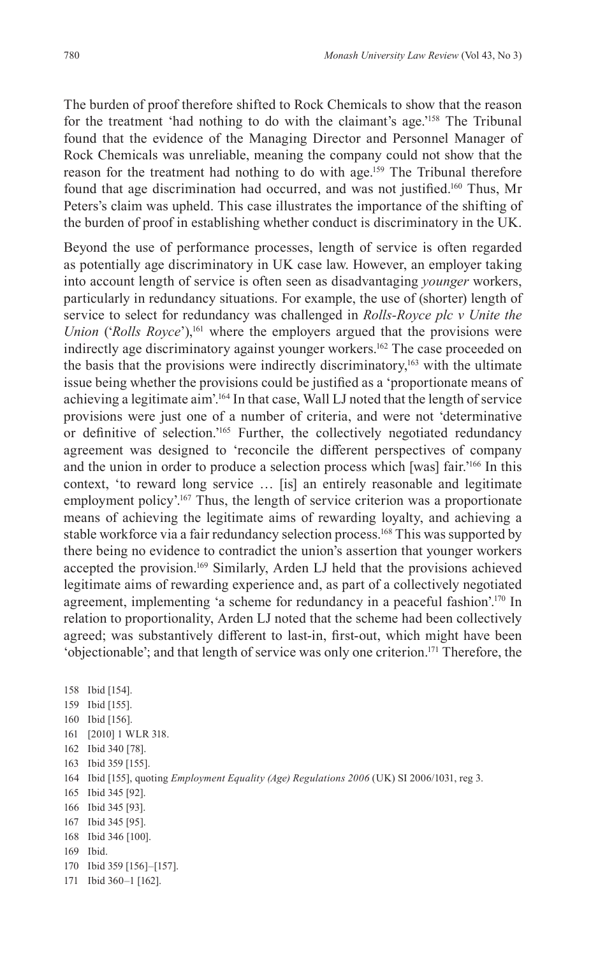The burden of proof therefore shifted to Rock Chemicals to show that the reason for the treatment 'had nothing to do with the claimant's age.'158 The Tribunal found that the evidence of the Managing Director and Personnel Manager of Rock Chemicals was unreliable, meaning the company could not show that the reason for the treatment had nothing to do with age.<sup>159</sup> The Tribunal therefore found that age discrimination had occurred, and was not justified.<sup>160</sup> Thus, Mr Peters's claim was upheld. This case illustrates the importance of the shifting of the burden of proof in establishing whether conduct is discriminatory in the UK.

Beyond the use of performance processes, length of service is often regarded as potentially age discriminatory in UK case law. However, an employer taking into account length of service is often seen as disadvantaging *younger* workers, particularly in redundancy situations. For example, the use of (shorter) length of service to select for redundancy was challenged in *Rolls-Royce plc v Unite the Union* ('*Rolls Royce*'),<sup>161</sup> where the employers argued that the provisions were indirectly age discriminatory against younger workers.<sup>162</sup> The case proceeded on the basis that the provisions were indirectly discriminatory,<sup>163</sup> with the ultimate issue being whether the provisions could be justified as a 'proportionate means of achieving a legitimate aim'.<sup>164</sup> In that case, Wall LJ noted that the length of service provisions were just one of a number of criteria, and were not 'determinative or definitive of selection.'<sup>165</sup> Further, the collectively negotiated redundancy agreement was designed to 'reconcile the different perspectives of company and the union in order to produce a selection process which [was] fair.'166 In this context, 'to reward long service … [is] an entirely reasonable and legitimate employment policy'.<sup>167</sup> Thus, the length of service criterion was a proportionate means of achieving the legitimate aims of rewarding loyalty, and achieving a stable workforce via a fair redundancy selection process.168 This was supported by there being no evidence to contradict the union's assertion that younger workers accepted the provision.<sup>169</sup> Similarly, Arden LJ held that the provisions achieved legitimate aims of rewarding experience and, as part of a collectively negotiated agreement, implementing 'a scheme for redundancy in a peaceful fashion'.<sup>170</sup> In relation to proportionality, Arden LJ noted that the scheme had been collectively agreed; was substantively different to last-in, first-out, which might have been 'objectionable'; and that length of service was only one criterion.171 Therefore, the

 Ibid [154]. Ibid [155]. Ibid [156]. [2010] 1 WLR 318. Ibid 340 [78]. Ibid 359 [155]. Ibid [155], quoting *Employment Equality (Age) Regulations 2006* (UK) SI 2006/1031, reg 3. Ibid 345 [92]. Ibid 345 [93]. Ibid 345 [95]. Ibid 346 [100]. 169 Ibid. Ibid 359 [156]–[157]. Ibid 360–1 [162].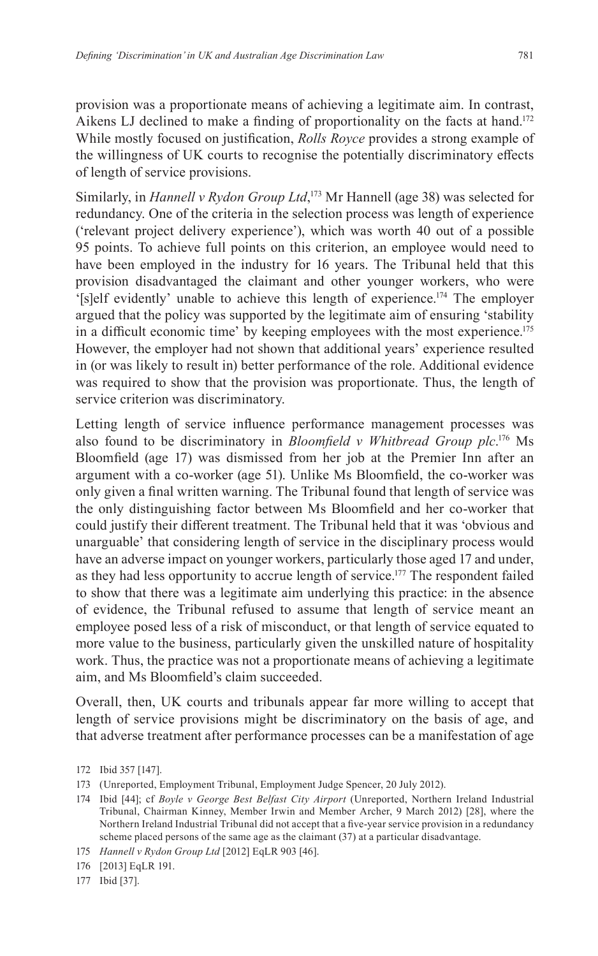provision was a proportionate means of achieving a legitimate aim. In contrast, Aikens LJ declined to make a finding of proportionality on the facts at hand.<sup>172</sup> While mostly focused on justification, *Rolls Royce* provides a strong example of the willingness of UK courts to recognise the potentially discriminatory effects of length of service provisions.

Similarly, in *Hannell v Rydon Group Ltd*, 173 Mr Hannell (age 38) was selected for redundancy. One of the criteria in the selection process was length of experience ('relevant project delivery experience'), which was worth 40 out of a possible 95 points. To achieve full points on this criterion, an employee would need to have been employed in the industry for 16 years. The Tribunal held that this provision disadvantaged the claimant and other younger workers, who were '[s]elf evidently' unable to achieve this length of experience.174 The employer argued that the policy was supported by the legitimate aim of ensuring 'stability in a difficult economic time' by keeping employees with the most experience.<sup>175</sup> However, the employer had not shown that additional years' experience resulted in (or was likely to result in) better performance of the role. Additional evidence was required to show that the provision was proportionate. Thus, the length of service criterion was discriminatory.

Letting length of service influence performance management processes was also found to be discriminatory in *Bloomfield v Whitbread Group plc*. 176 Ms Bloomfield (age 17) was dismissed from her job at the Premier Inn after an argument with a co-worker (age 51). Unlike Ms Bloomfield, the co-worker was only given a final written warning. The Tribunal found that length of service was the only distinguishing factor between Ms Bloomfield and her co-worker that could justify their different treatment. The Tribunal held that it was 'obvious and unarguable' that considering length of service in the disciplinary process would have an adverse impact on younger workers, particularly those aged 17 and under, as they had less opportunity to accrue length of service.<sup>177</sup> The respondent failed to show that there was a legitimate aim underlying this practice: in the absence of evidence, the Tribunal refused to assume that length of service meant an employee posed less of a risk of misconduct, or that length of service equated to more value to the business, particularly given the unskilled nature of hospitality work. Thus, the practice was not a proportionate means of achieving a legitimate aim, and Ms Bloomfield's claim succeeded.

Overall, then, UK courts and tribunals appear far more willing to accept that length of service provisions might be discriminatory on the basis of age, and that adverse treatment after performance processes can be a manifestation of age

175 *Hannell v Rydon Group Ltd* [2012] EqLR 903 [46].

<sup>172</sup> Ibid 357 [147].

<sup>173</sup> (Unreported, Employment Tribunal, Employment Judge Spencer, 20 July 2012).

<sup>174</sup> Ibid [44]; cf *Boyle v George Best Belfast City Airport* (Unreported, Northern Ireland Industrial Tribunal, Chairman Kinney, Member Irwin and Member Archer, 9 March 2012) [28], where the Northern Ireland Industrial Tribunal did not accept that a five-year service provision in a redundancy scheme placed persons of the same age as the claimant (37) at a particular disadvantage.

<sup>176</sup> [2013] EqLR 191.

<sup>177</sup> Ibid [37].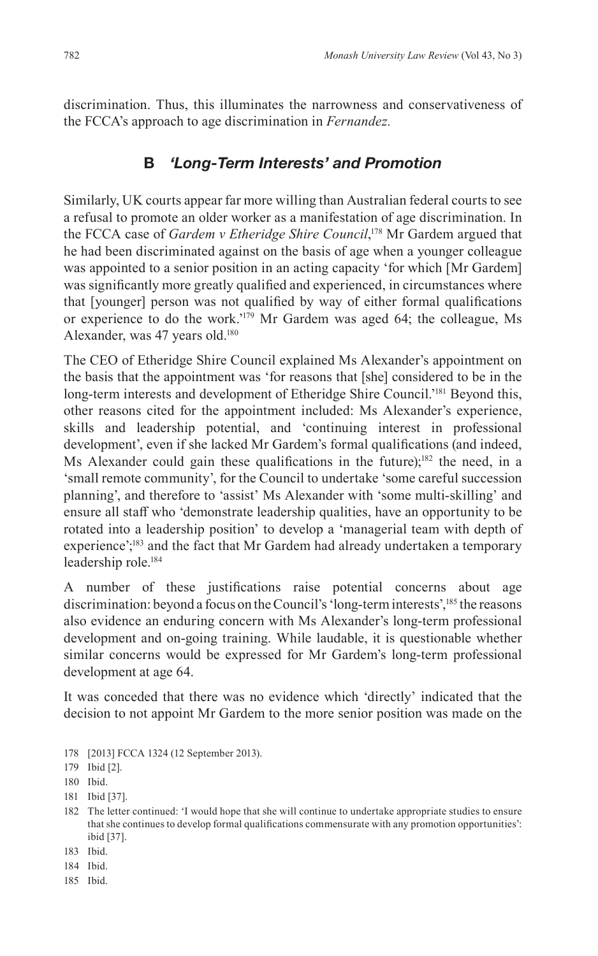discrimination. Thus, this illuminates the narrowness and conservativeness of the FCCA's approach to age discrimination in *Fernandez.*

# **B** *'Long-Term Interests' and Promotion*

Similarly, UK courts appear far more willing than Australian federal courts to see a refusal to promote an older worker as a manifestation of age discrimination. In the FCCA case of *Gardem v Etheridge Shire Council*, <sup>178</sup> Mr Gardem argued that he had been discriminated against on the basis of age when a younger colleague was appointed to a senior position in an acting capacity 'for which [Mr Gardem] was significantly more greatly qualified and experienced, in circumstances where that [younger] person was not qualified by way of either formal qualifications or experience to do the work.'179 Mr Gardem was aged 64; the colleague, Ms Alexander, was 47 years old.<sup>180</sup>

The CEO of Etheridge Shire Council explained Ms Alexander's appointment on the basis that the appointment was 'for reasons that [she] considered to be in the long-term interests and development of Etheridge Shire Council.<sup>181</sup> Beyond this, other reasons cited for the appointment included: Ms Alexander's experience, skills and leadership potential, and 'continuing interest in professional development', even if she lacked Mr Gardem's formal qualifications (and indeed, Ms Alexander could gain these qualifications in the future);<sup>182</sup> the need, in a 'small remote community', for the Council to undertake 'some careful succession planning', and therefore to 'assist' Ms Alexander with 'some multi-skilling' and ensure all staff who 'demonstrate leadership qualities, have an opportunity to be rotated into a leadership position' to develop a 'managerial team with depth of experience';<sup>183</sup> and the fact that Mr Gardem had already undertaken a temporary leadership role.184

A number of these justifications raise potential concerns about age discrimination: beyond a focus on the Council's 'long-term interests',185 the reasons also evidence an enduring concern with Ms Alexander's long-term professional development and on-going training. While laudable, it is questionable whether similar concerns would be expressed for Mr Gardem's long-term professional development at age 64.

It was conceded that there was no evidence which 'directly' indicated that the decision to not appoint Mr Gardem to the more senior position was made on the

178 [2013] FCCA 1324 (12 September 2013).

- 182 The letter continued: 'I would hope that she will continue to undertake appropriate studies to ensure that she continues to develop formal qualifications commensurate with any promotion opportunities': ibid [37].
- 183 Ibid.
- 184 Ibid.
- 185 Ibid.

<sup>179</sup> Ibid [2].

<sup>180</sup> Ibid.

<sup>181</sup> Ibid [37].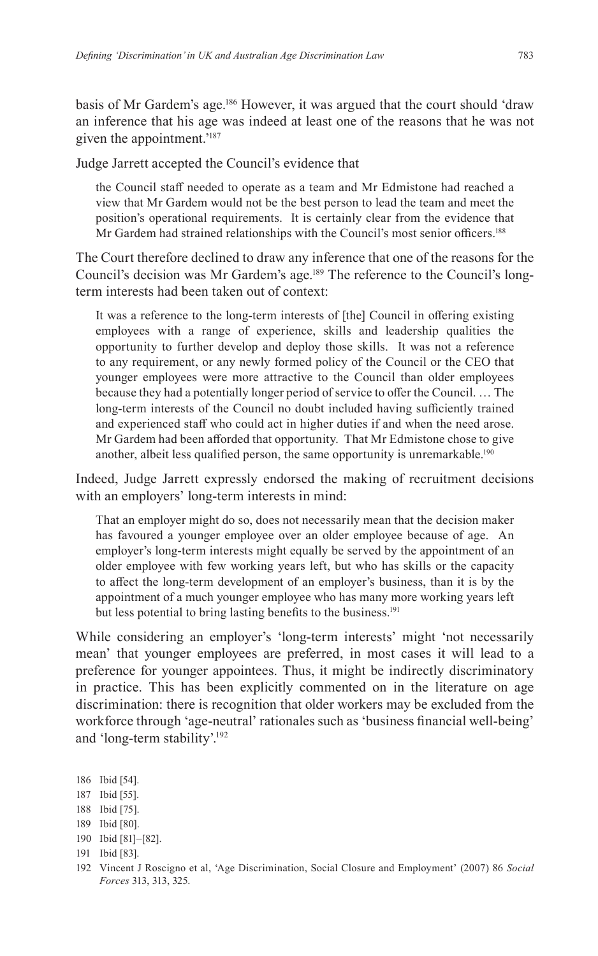basis of Mr Gardem's age.186 However, it was argued that the court should 'draw an inference that his age was indeed at least one of the reasons that he was not given the appointment.'187

Judge Jarrett accepted the Council's evidence that

the Council staff needed to operate as a team and Mr Edmistone had reached a view that Mr Gardem would not be the best person to lead the team and meet the position's operational requirements. It is certainly clear from the evidence that Mr Gardem had strained relationships with the Council's most senior officers.<sup>188</sup>

The Court therefore declined to draw any inference that one of the reasons for the Council's decision was Mr Gardem's age.189 The reference to the Council's longterm interests had been taken out of context:

It was a reference to the long-term interests of [the] Council in offering existing employees with a range of experience, skills and leadership qualities the opportunity to further develop and deploy those skills. It was not a reference to any requirement, or any newly formed policy of the Council or the CEO that younger employees were more attractive to the Council than older employees because they had a potentially longer period of service to offer the Council. … The long-term interests of the Council no doubt included having sufficiently trained and experienced staff who could act in higher duties if and when the need arose. Mr Gardem had been afforded that opportunity. That Mr Edmistone chose to give another, albeit less qualified person, the same opportunity is unremarkable.<sup>190</sup>

Indeed, Judge Jarrett expressly endorsed the making of recruitment decisions with an employers' long-term interests in mind:

That an employer might do so, does not necessarily mean that the decision maker has favoured a younger employee over an older employee because of age. An employer's long-term interests might equally be served by the appointment of an older employee with few working years left, but who has skills or the capacity to affect the long-term development of an employer's business, than it is by the appointment of a much younger employee who has many more working years left but less potential to bring lasting benefits to the business.<sup>191</sup>

While considering an employer's 'long-term interests' might 'not necessarily mean' that younger employees are preferred, in most cases it will lead to a preference for younger appointees. Thus, it might be indirectly discriminatory in practice. This has been explicitly commented on in the literature on age discrimination: there is recognition that older workers may be excluded from the workforce through 'age-neutral' rationales such as 'business financial well-being' and 'long-term stability'.192

- 187 Ibid [55].
- 188 Ibid [75].
- 189 Ibid [80].
- 190 Ibid [81]–[82].
- 191 Ibid [83].
- 192 Vincent J Roscigno et al, 'Age Discrimination, Social Closure and Employment' (2007) 86 *Social Forces* 313, 313, 325.

<sup>186</sup> Ibid [54].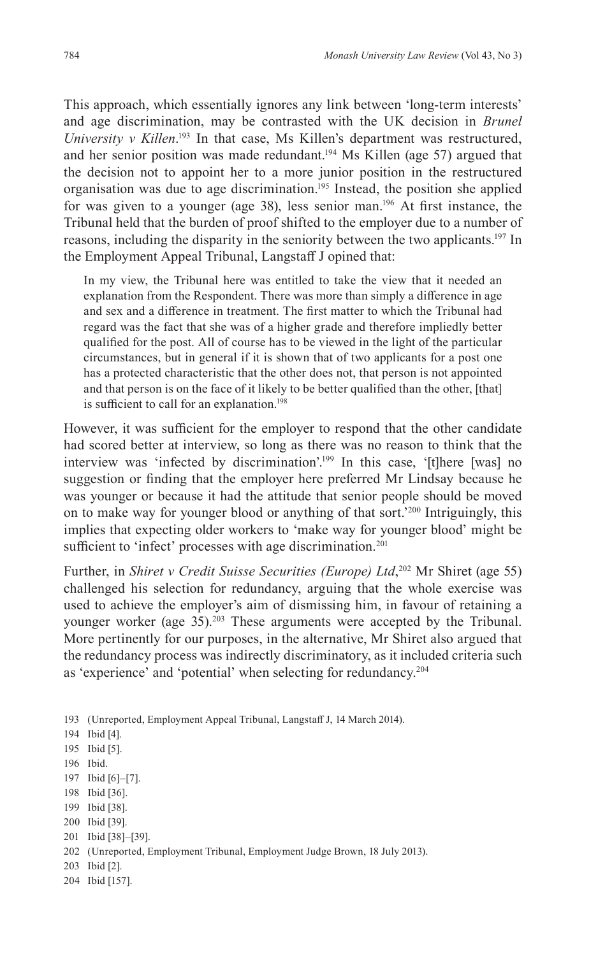This approach, which essentially ignores any link between 'long-term interests' and age discrimination, may be contrasted with the UK decision in *Brunel University v Killen*.<sup>193</sup> In that case, Ms Killen's department was restructured, and her senior position was made redundant.<sup>194</sup> Ms Killen (age 57) argued that the decision not to appoint her to a more junior position in the restructured organisation was due to age discrimination.195 Instead, the position she applied for was given to a younger (age 38), less senior man.<sup>196</sup> At first instance, the Tribunal held that the burden of proof shifted to the employer due to a number of reasons, including the disparity in the seniority between the two applicants.197 In the Employment Appeal Tribunal, Langstaff J opined that:

In my view, the Tribunal here was entitled to take the view that it needed an explanation from the Respondent. There was more than simply a difference in age and sex and a difference in treatment. The first matter to which the Tribunal had regard was the fact that she was of a higher grade and therefore impliedly better qualified for the post. All of course has to be viewed in the light of the particular circumstances, but in general if it is shown that of two applicants for a post one has a protected characteristic that the other does not, that person is not appointed and that person is on the face of it likely to be better qualified than the other, [that] is sufficient to call for an explanation.<sup>198</sup>

However, it was sufficient for the employer to respond that the other candidate had scored better at interview, so long as there was no reason to think that the interview was 'infected by discrimination'.<sup>199</sup> In this case, '[t]here [was] no suggestion or finding that the employer here preferred Mr Lindsay because he was younger or because it had the attitude that senior people should be moved on to make way for younger blood or anything of that sort.'200 Intriguingly, this implies that expecting older workers to 'make way for younger blood' might be sufficient to 'infect' processes with age discrimination.<sup>201</sup>

Further, in *Shiret v Credit Suisse Securities (Europe) Ltd*, 202 Mr Shiret (age 55) challenged his selection for redundancy, arguing that the whole exercise was used to achieve the employer's aim of dismissing him, in favour of retaining a younger worker (age 35).<sup>203</sup> These arguments were accepted by the Tribunal. More pertinently for our purposes, in the alternative, Mr Shiret also argued that the redundancy process was indirectly discriminatory, as it included criteria such as 'experience' and 'potential' when selecting for redundancy.204

193 (Unreported, Employment Appeal Tribunal, Langstaff J, 14 March 2014).

- 195 Ibid [5].
- 196 Ibid.
- 197 Ibid [6]–[7].
- 198 Ibid [36].
- 199 Ibid [38].
- 200 Ibid [39].
- 201 Ibid [38]–[39].
- 202 (Unreported, Employment Tribunal, Employment Judge Brown, 18 July 2013).
- 203 Ibid [2].
- 204 Ibid [157].

<sup>194</sup> Ibid [4].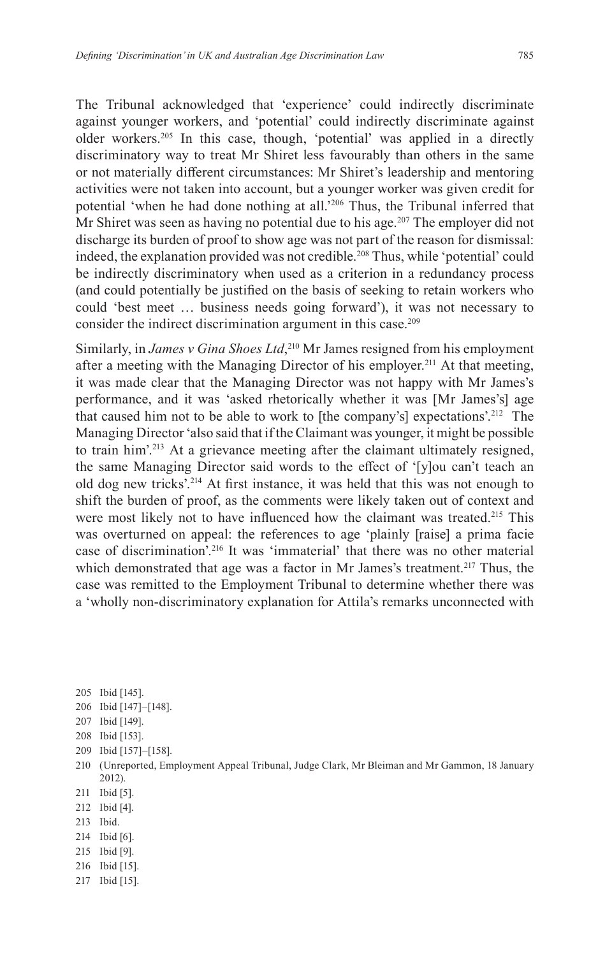The Tribunal acknowledged that 'experience' could indirectly discriminate against younger workers, and 'potential' could indirectly discriminate against older workers.205 In this case, though, 'potential' was applied in a directly discriminatory way to treat Mr Shiret less favourably than others in the same or not materially different circumstances: Mr Shiret's leadership and mentoring activities were not taken into account, but a younger worker was given credit for potential 'when he had done nothing at all.'206 Thus, the Tribunal inferred that Mr Shiret was seen as having no potential due to his age.<sup>207</sup> The employer did not discharge its burden of proof to show age was not part of the reason for dismissal: indeed, the explanation provided was not credible.<sup>208</sup> Thus, while 'potential' could be indirectly discriminatory when used as a criterion in a redundancy process (and could potentially be justified on the basis of seeking to retain workers who could 'best meet … business needs going forward'), it was not necessary to consider the indirect discrimination argument in this case.<sup>209</sup>

Similarly, in *James v Gina Shoes Ltd*, 210 Mr James resigned from his employment after a meeting with the Managing Director of his employer.<sup>211</sup> At that meeting, it was made clear that the Managing Director was not happy with Mr James's performance, and it was 'asked rhetorically whether it was [Mr James's] age that caused him not to be able to work to [the company's] expectations'.<sup>212</sup> The Managing Director 'also said that if the Claimant was younger, it might be possible to train him'.213 At a grievance meeting after the claimant ultimately resigned, the same Managing Director said words to the effect of '[y]ou can't teach an old dog new tricks'.214 At first instance, it was held that this was not enough to shift the burden of proof, as the comments were likely taken out of context and were most likely not to have influenced how the claimant was treated.<sup>215</sup> This was overturned on appeal: the references to age 'plainly [raise] a prima facie case of discrimination'.216 It was 'immaterial' that there was no other material which demonstrated that age was a factor in Mr James's treatment.<sup>217</sup> Thus, the case was remitted to the Employment Tribunal to determine whether there was a 'wholly non-discriminatory explanation for Attila's remarks unconnected with

- 205 Ibid [145].
- 206 Ibid [147]–[148].
- 207 Ibid [149].
- 208 Ibid [153].
- 209 Ibid [157]–[158].
- 210 (Unreported, Employment Appeal Tribunal, Judge Clark, Mr Bleiman and Mr Gammon, 18 January 2012).
- 211 Ibid [5].
- 212 Ibid [4].
- 213 Ibid.
- 214 Ibid [6].
- 215 Ibid [9].
- 216 Ibid [15].
- 217 Ibid [15].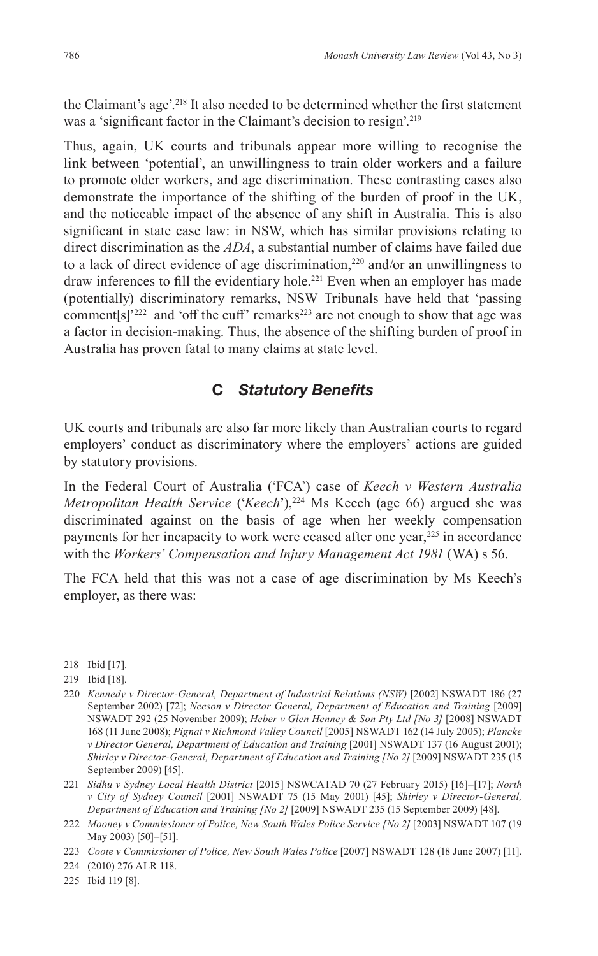the Claimant's age'.218 It also needed to be determined whether the first statement was a 'significant factor in the Claimant's decision to resign'.<sup>219</sup>

Thus, again, UK courts and tribunals appear more willing to recognise the link between 'potential', an unwillingness to train older workers and a failure to promote older workers, and age discrimination. These contrasting cases also demonstrate the importance of the shifting of the burden of proof in the UK, and the noticeable impact of the absence of any shift in Australia. This is also significant in state case law: in NSW, which has similar provisions relating to direct discrimination as the *ADA*, a substantial number of claims have failed due to a lack of direct evidence of age discrimination, $220$  and/or an unwillingness to draw inferences to fill the evidentiary hole.<sup>221</sup> Even when an employer has made (potentially) discriminatory remarks, NSW Tribunals have held that 'passing comment[s]'<sup>222</sup> and 'off the cuff' remarks<sup>223</sup> are not enough to show that age was a factor in decision-making. Thus, the absence of the shifting burden of proof in Australia has proven fatal to many claims at state level.

## **C** *Statutory Benefits*

UK courts and tribunals are also far more likely than Australian courts to regard employers' conduct as discriminatory where the employers' actions are guided by statutory provisions.

In the Federal Court of Australia ('FCA') case of *Keech v Western Australia Metropolitan Health Service* ('*Keech*'),224 Ms Keech (age 66) argued she was discriminated against on the basis of age when her weekly compensation payments for her incapacity to work were ceased after one year,<sup>225</sup> in accordance with the *Workers' Compensation and Injury Management Act 1981* (WA) s 56.

The FCA held that this was not a case of age discrimination by Ms Keech's employer, as there was:

- 220 *Kennedy v Director-General, Department of Industrial Relations (NSW)* [2002] NSWADT 186 (27 September 2002) [72]; *Neeson v Director General, Department of Education and Training* [2009] NSWADT 292 (25 November 2009); *Heber v Glen Henney & Son Pty Ltd [No 3]* [2008] NSWADT 168 (11 June 2008); *Pignat v Richmond Valley Council* [2005] NSWADT 162 (14 July 2005); *Plancke v Director General, Department of Education and Training* [2001] NSWADT 137 (16 August 2001); *Shirley v Director-General, Department of Education and Training [No 2]* [2009] NSWADT 235 (15 September 2009) [45].
- 221 *Sidhu v Sydney Local Health District* [2015] NSWCATAD 70 (27 February 2015) [16]–[17]; *North v City of Sydney Council* [2001] NSWADT 75 (15 May 2001) [45]; *Shirley v Director-General, Department of Education and Training [No 2]* [2009] NSWADT 235 (15 September 2009) [48].

224 (2010) 276 ALR 118.

225 Ibid 119 [8].

<sup>218</sup> Ibid [17].

<sup>219</sup> Ibid [18].

<sup>222</sup> *Mooney v Commissioner of Police, New South Wales Police Service [No 2]* [2003] NSWADT 107 (19 May 2003) [50]–[51].

<sup>223</sup> *Coote v Commissioner of Police, New South Wales Police* [2007] NSWADT 128 (18 June 2007) [11].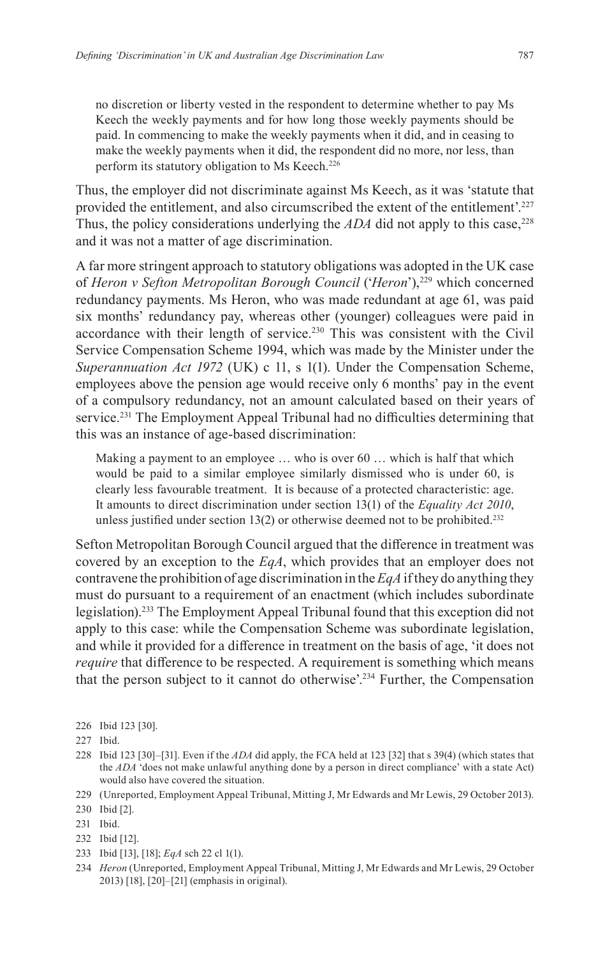no discretion or liberty vested in the respondent to determine whether to pay Ms Keech the weekly payments and for how long those weekly payments should be paid. In commencing to make the weekly payments when it did, and in ceasing to make the weekly payments when it did, the respondent did no more, nor less, than perform its statutory obligation to Ms Keech.<sup>226</sup>

Thus, the employer did not discriminate against Ms Keech, as it was 'statute that provided the entitlement, and also circumscribed the extent of the entitlement'.227 Thus, the policy considerations underlying the  $ADA$  did not apply to this case,<sup>228</sup> and it was not a matter of age discrimination.

A far more stringent approach to statutory obligations was adopted in the UK case of *Heron v Sefton Metropolitan Borough Council* ('*Heron*'),229 which concerned redundancy payments. Ms Heron, who was made redundant at age 61, was paid six months' redundancy pay, whereas other (younger) colleagues were paid in accordance with their length of service.<sup>230</sup> This was consistent with the Civil Service Compensation Scheme 1994, which was made by the Minister under the *Superannuation Act 1972* (UK) c 11, s 1(1). Under the Compensation Scheme, employees above the pension age would receive only 6 months' pay in the event of a compulsory redundancy, not an amount calculated based on their years of service.<sup>231</sup> The Employment Appeal Tribunal had no difficulties determining that this was an instance of age-based discrimination:

Making a payment to an employee … who is over 60 … which is half that which would be paid to a similar employee similarly dismissed who is under 60, is clearly less favourable treatment. It is because of a protected characteristic: age. It amounts to direct discrimination under section 13(1) of the *Equality Act 2010*, unless justified under section  $13(2)$  or otherwise deemed not to be prohibited.<sup>232</sup>

Sefton Metropolitan Borough Council argued that the difference in treatment was covered by an exception to the *EqA*, which provides that an employer does not contravene the prohibition of age discrimination in the *EqA* if they do anything they must do pursuant to a requirement of an enactment (which includes subordinate legislation).233 The Employment Appeal Tribunal found that this exception did not apply to this case: while the Compensation Scheme was subordinate legislation, and while it provided for a difference in treatment on the basis of age, 'it does not *require* that difference to be respected. A requirement is something which means that the person subject to it cannot do otherwise'.234 Further, the Compensation

- 232 Ibid [12].
- 233 Ibid [13], [18]; *EqA* sch 22 cl 1(1).
- 234 *Heron* (Unreported, Employment Appeal Tribunal, Mitting J, Mr Edwards and Mr Lewis, 29 October 2013) [18], [20]–[21] (emphasis in original).

<sup>226</sup> Ibid 123 [30].

<sup>227</sup> Ibid.

<sup>228</sup> Ibid 123 [30]–[31]. Even if the *ADA* did apply, the FCA held at 123 [32] that s 39(4) (which states that the *ADA* 'does not make unlawful anything done by a person in direct compliance' with a state Act) would also have covered the situation.

<sup>229</sup> (Unreported, Employment Appeal Tribunal, Mitting J, Mr Edwards and Mr Lewis, 29 October 2013).

<sup>230</sup> Ibid [2].

<sup>231</sup> Ibid.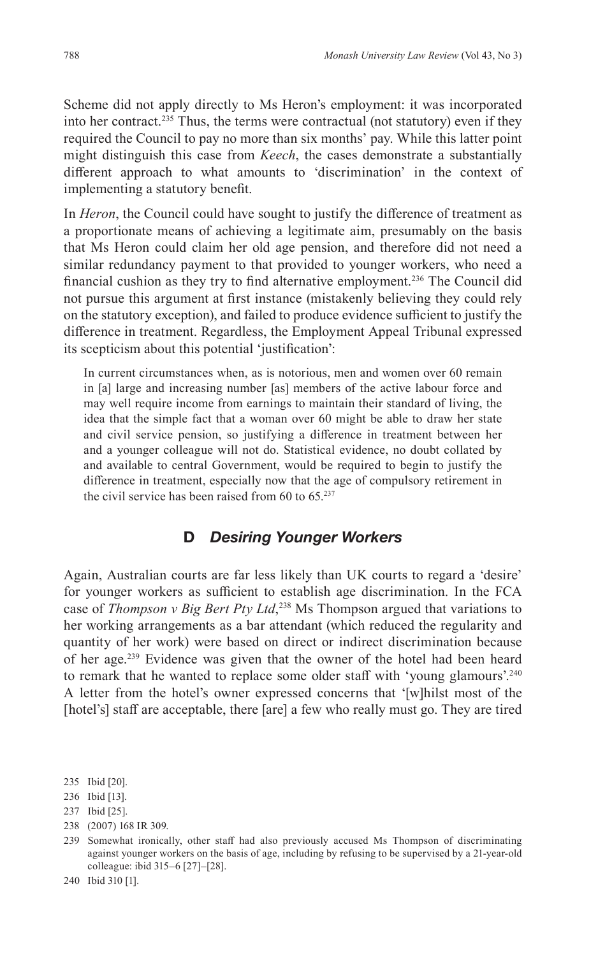Scheme did not apply directly to Ms Heron's employment: it was incorporated into her contract.<sup>235</sup> Thus, the terms were contractual (not statutory) even if they required the Council to pay no more than six months' pay. While this latter point might distinguish this case from *Keech*, the cases demonstrate a substantially different approach to what amounts to 'discrimination' in the context of implementing a statutory benefit.

In *Heron*, the Council could have sought to justify the difference of treatment as a proportionate means of achieving a legitimate aim, presumably on the basis that Ms Heron could claim her old age pension, and therefore did not need a similar redundancy payment to that provided to younger workers, who need a financial cushion as they try to find alternative employment.<sup>236</sup> The Council did not pursue this argument at first instance (mistakenly believing they could rely on the statutory exception), and failed to produce evidence sufficient to justify the difference in treatment. Regardless, the Employment Appeal Tribunal expressed its scepticism about this potential 'justification':

In current circumstances when, as is notorious, men and women over 60 remain in [a] large and increasing number [as] members of the active labour force and may well require income from earnings to maintain their standard of living, the idea that the simple fact that a woman over 60 might be able to draw her state and civil service pension, so justifying a difference in treatment between her and a younger colleague will not do. Statistical evidence, no doubt collated by and available to central Government, would be required to begin to justify the difference in treatment, especially now that the age of compulsory retirement in the civil service has been raised from  $60$  to  $65.^{237}$ 

## **D** *Desiring Younger Workers*

Again, Australian courts are far less likely than UK courts to regard a 'desire' for younger workers as sufficient to establish age discrimination. In the FCA case of *Thompson v Big Bert Pty Ltd*, 238 Ms Thompson argued that variations to her working arrangements as a bar attendant (which reduced the regularity and quantity of her work) were based on direct or indirect discrimination because of her age.<sup>239</sup> Evidence was given that the owner of the hotel had been heard to remark that he wanted to replace some older staff with 'young glamours'.<sup>240</sup> A letter from the hotel's owner expressed concerns that '[w]hilst most of the [hotel's] staff are acceptable, there [are] a few who really must go. They are tired

238 (2007) 168 IR 309.

<sup>235</sup> Ibid [20].

<sup>236</sup> Ibid [13].

<sup>237</sup> Ibid [25].

<sup>239</sup> Somewhat ironically, other staff had also previously accused Ms Thompson of discriminating against younger workers on the basis of age, including by refusing to be supervised by a 21-year-old colleague: ibid 315–6 [27]–[28].

<sup>240</sup> Ibid 310 [1].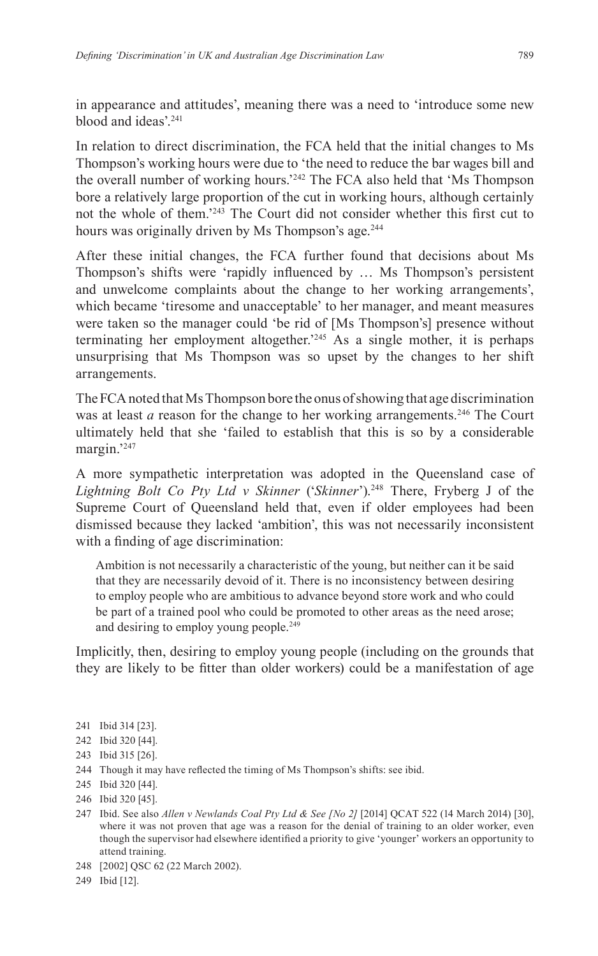in appearance and attitudes', meaning there was a need to 'introduce some new blood and ideas'<sup>241</sup>

In relation to direct discrimination, the FCA held that the initial changes to Ms Thompson's working hours were due to 'the need to reduce the bar wages bill and the overall number of working hours.'242 The FCA also held that 'Ms Thompson bore a relatively large proportion of the cut in working hours, although certainly not the whole of them.'243 The Court did not consider whether this first cut to hours was originally driven by Ms Thompson's age.<sup>244</sup>

After these initial changes, the FCA further found that decisions about Ms Thompson's shifts were 'rapidly influenced by … Ms Thompson's persistent and unwelcome complaints about the change to her working arrangements', which became 'tiresome and unacceptable' to her manager, and meant measures were taken so the manager could 'be rid of [Ms Thompson's] presence without terminating her employment altogether.'245 As a single mother, it is perhaps unsurprising that Ms Thompson was so upset by the changes to her shift arrangements.

The FCA noted that Ms Thompson bore the onus of showing that age discrimination was at least *a* reason for the change to her working arrangements.<sup>246</sup> The Court ultimately held that she 'failed to establish that this is so by a considerable margin.'247

A more sympathetic interpretation was adopted in the Queensland case of *Lightning Bolt Co Pty Ltd v Skinner* ('*Skinner*').248 There, Fryberg J of the Supreme Court of Queensland held that, even if older employees had been dismissed because they lacked 'ambition', this was not necessarily inconsistent with a finding of age discrimination:

Ambition is not necessarily a characteristic of the young, but neither can it be said that they are necessarily devoid of it. There is no inconsistency between desiring to employ people who are ambitious to advance beyond store work and who could be part of a trained pool who could be promoted to other areas as the need arose; and desiring to employ young people.<sup>249</sup>

Implicitly, then, desiring to employ young people (including on the grounds that they are likely to be fitter than older workers) could be a manifestation of age

- 241 Ibid 314 [23].
- 242 Ibid 320 [44].
- 243 Ibid 315 [26].
- 244 Though it may have reflected the timing of Ms Thompson's shifts: see ibid.
- 245 Ibid 320 [44].
- 246 Ibid 320 [45].
- 247 Ibid. See also *Allen v Newlands Coal Pty Ltd & See [No 2]* [2014] QCAT 522 (14 March 2014) [30], where it was not proven that age was a reason for the denial of training to an older worker, even though the supervisor had elsewhere identified a priority to give 'younger' workers an opportunity to attend training.
- 248 [2002] QSC 62 (22 March 2002).
- 249 Ibid [12].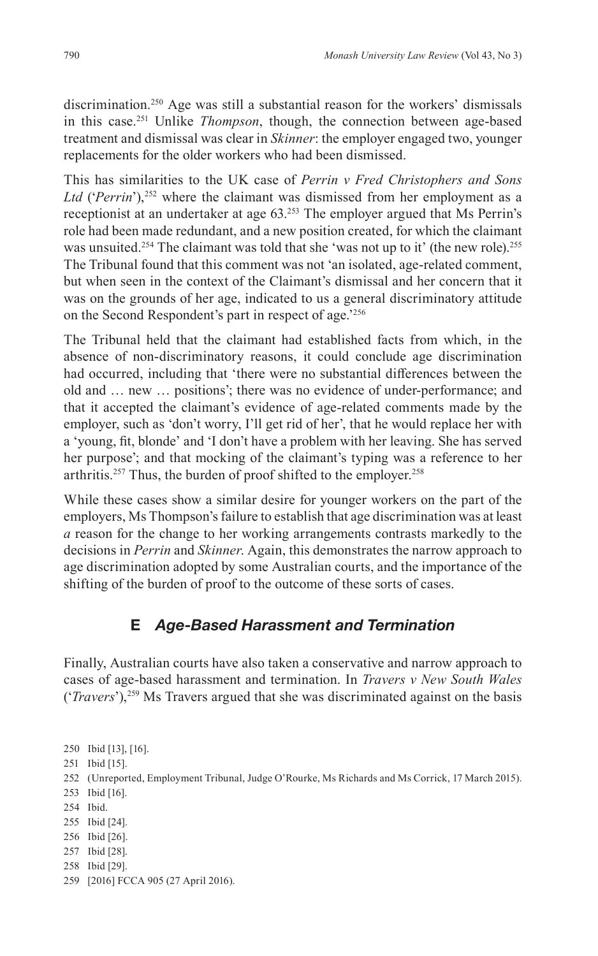discrimination.<sup>250</sup> Age was still a substantial reason for the workers' dismissals in this case.251 Unlike *Thompson*, though, the connection between age-based treatment and dismissal was clear in *Skinner*: the employer engaged two, younger replacements for the older workers who had been dismissed.

This has similarities to the UK case of *Perrin v Fred Christophers and Sons Ltd* ('*Perrin*'),252 where the claimant was dismissed from her employment as a receptionist at an undertaker at age 63.253 The employer argued that Ms Perrin's role had been made redundant, and a new position created, for which the claimant was unsuited.<sup>254</sup> The claimant was told that she 'was not up to it' (the new role).<sup>255</sup> The Tribunal found that this comment was not 'an isolated, age-related comment, but when seen in the context of the Claimant's dismissal and her concern that it was on the grounds of her age, indicated to us a general discriminatory attitude on the Second Respondent's part in respect of age.'256

The Tribunal held that the claimant had established facts from which, in the absence of non-discriminatory reasons, it could conclude age discrimination had occurred, including that 'there were no substantial differences between the old and … new … positions'; there was no evidence of under-performance; and that it accepted the claimant's evidence of age-related comments made by the employer, such as 'don't worry, I'll get rid of her', that he would replace her with a 'young, fit, blonde' and 'I don't have a problem with her leaving. She has served her purpose'; and that mocking of the claimant's typing was a reference to her arthritis.<sup>257</sup> Thus, the burden of proof shifted to the employer.<sup>258</sup>

While these cases show a similar desire for younger workers on the part of the employers, Ms Thompson's failure to establish that age discrimination was at least *a* reason for the change to her working arrangements contrasts markedly to the decisions in *Perrin* and *Skinner*. Again, this demonstrates the narrow approach to age discrimination adopted by some Australian courts, and the importance of the shifting of the burden of proof to the outcome of these sorts of cases.

# **E** *Age-Based Harassment and Termination*

Finally, Australian courts have also taken a conservative and narrow approach to cases of age-based harassment and termination. In *Travers v New South Wales*  ('*Travers*'),259 Ms Travers argued that she was discriminated against on the basis

 Ibid [13], [16]. Ibid [15]. (Unreported, Employment Tribunal, Judge O'Rourke, Ms Richards and Ms Corrick, 17 March 2015). Ibid [16]. 254 Ibid. Ibid [24]. Ibid [26]. Ibid [28]. Ibid [29]. [2016] FCCA 905 (27 April 2016).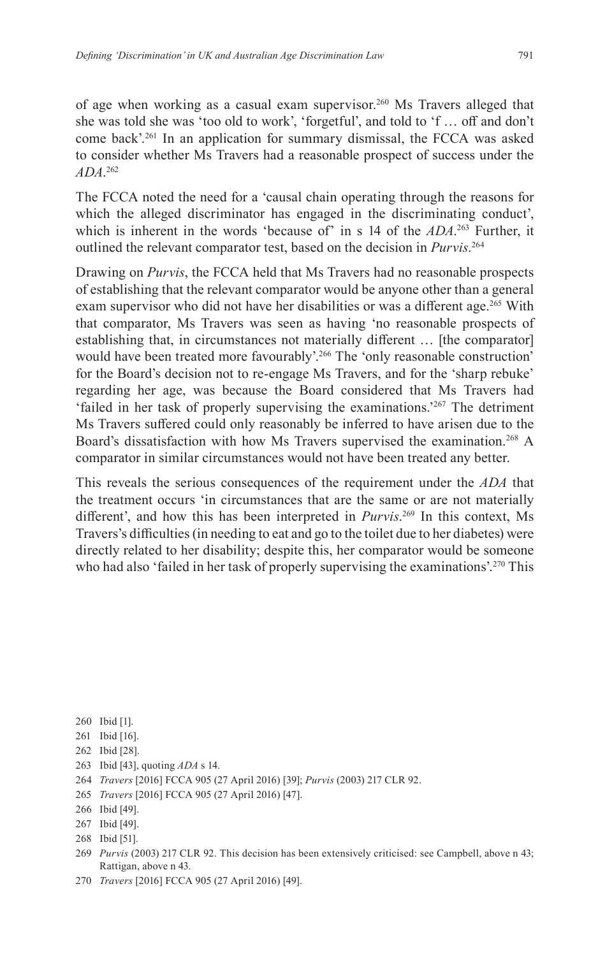of age when working as a casual exam supervisor.<sup>260</sup> Ms Travers alleged that she was told she was 'too old to work', 'forgetful', and told to 'f … off and don't come back'.261 In an application for summary dismissal, the FCCA was asked to consider whether Ms Travers had a reasonable prospect of success under the *ADA*. 262

The FCCA noted the need for a 'causal chain operating through the reasons for which the alleged discriminator has engaged in the discriminating conduct', which is inherent in the words 'because of' in s 14 of the *ADA*. 263 Further, it outlined the relevant comparator test, based on the decision in *Purvis*. 264

Drawing on *Purvis*, the FCCA held that Ms Travers had no reasonable prospects of establishing that the relevant comparator would be anyone other than a general exam supervisor who did not have her disabilities or was a different age.<sup>265</sup> With that comparator, Ms Travers was seen as having 'no reasonable prospects of establishing that, in circumstances not materially different … [the comparator] would have been treated more favourably'.<sup>266</sup> The 'only reasonable construction' for the Board's decision not to re-engage Ms Travers, and for the 'sharp rebuke' regarding her age, was because the Board considered that Ms Travers had 'failed in her task of properly supervising the examinations.'267 The detriment Ms Travers suffered could only reasonably be inferred to have arisen due to the Board's dissatisfaction with how Ms Travers supervised the examination.<sup>268</sup> A comparator in similar circumstances would not have been treated any better.

This reveals the serious consequences of the requirement under the *ADA* that the treatment occurs 'in circumstances that are the same or are not materially different', and how this has been interpreted in *Purvis*. 269 In this context, Ms Travers's difficulties (in needing to eat and go to the toilet due to her diabetes) were directly related to her disability; despite this, her comparator would be someone who had also 'failed in her task of properly supervising the examinations'.<sup>270</sup> This

- 260 Ibid [1].
- 261 Ibid [16].
- 262 Ibid [28].
- 263 Ibid [43], quoting *ADA* s 14.
- 264 *Travers* [2016] FCCA 905 (27 April 2016) [39]; *Purvis* (2003) 217 CLR 92.
- 265 *Travers* [2016] FCCA 905 (27 April 2016) [47].

<sup>266</sup> Ibid [49].

<sup>267</sup> Ibid [49].

<sup>268</sup> Ibid [51].

<sup>269</sup> *Purvis* (2003) 217 CLR 92. This decision has been extensively criticised: see Campbell, above n 43; Rattigan, above n 43.

<sup>270</sup> *Travers* [2016] FCCA 905 (27 April 2016) [49].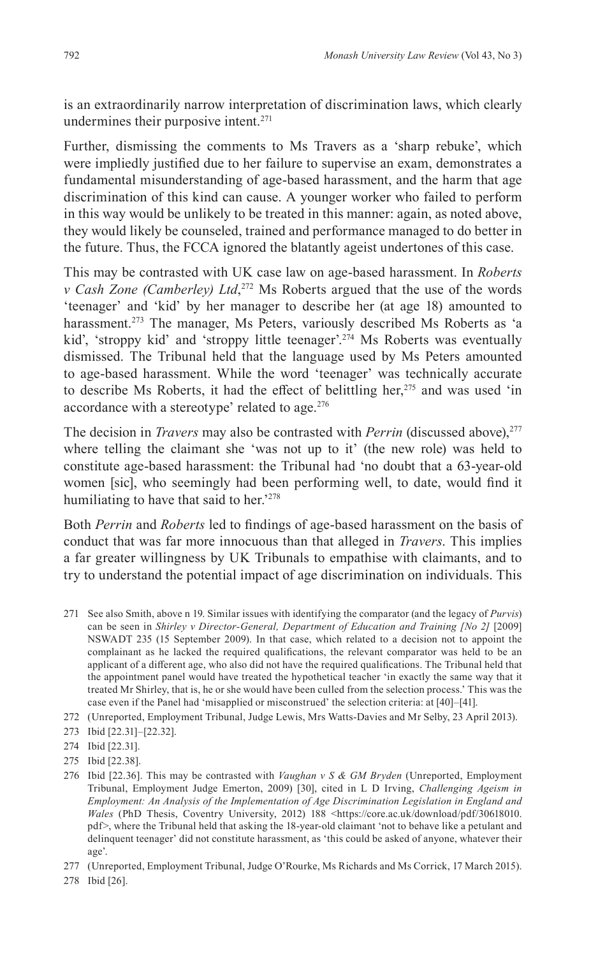is an extraordinarily narrow interpretation of discrimination laws, which clearly undermines their purposive intent.<sup>271</sup>

Further, dismissing the comments to Ms Travers as a 'sharp rebuke', which were impliedly justified due to her failure to supervise an exam, demonstrates a fundamental misunderstanding of age-based harassment, and the harm that age discrimination of this kind can cause. A younger worker who failed to perform in this way would be unlikely to be treated in this manner: again, as noted above, they would likely be counseled, trained and performance managed to do better in the future. Thus, the FCCA ignored the blatantly ageist undertones of this case.

This may be contrasted with UK case law on age-based harassment. In *Roberts v Cash Zone (Camberley) Ltd*, 272 Ms Roberts argued that the use of the words 'teenager' and 'kid' by her manager to describe her (at age 18) amounted to harassment.<sup>273</sup> The manager, Ms Peters, variously described Ms Roberts as 'a kid', 'stroppy kid' and 'stroppy little teenager'.<sup>274</sup> Ms Roberts was eventually dismissed. The Tribunal held that the language used by Ms Peters amounted to age-based harassment. While the word 'teenager' was technically accurate to describe Ms Roberts, it had the effect of belittling her, $275$  and was used 'in accordance with a stereotype' related to age.<sup>276</sup>

The decision in *Travers* may also be contrasted with *Perrin* (discussed above),<sup>277</sup> where telling the claimant she 'was not up to it' (the new role) was held to constitute age-based harassment: the Tribunal had 'no doubt that a 63-year-old women [sic], who seemingly had been performing well, to date, would find it humiliating to have that said to her.<sup>2278</sup>

Both *Perrin* and *Roberts* led to findings of age-based harassment on the basis of conduct that was far more innocuous than that alleged in *Travers*. This implies a far greater willingness by UK Tribunals to empathise with claimants, and to try to understand the potential impact of age discrimination on individuals. This

- 271 See also Smith, above n 19. Similar issues with identifying the comparator (and the legacy of *Purvis*) can be seen in *Shirley v Director-General, Department of Education and Training [No 2]* [2009] NSWADT 235 (15 September 2009). In that case, which related to a decision not to appoint the complainant as he lacked the required qualifications, the relevant comparator was held to be an applicant of a different age, who also did not have the required qualifications. The Tribunal held that the appointment panel would have treated the hypothetical teacher 'in exactly the same way that it treated Mr Shirley, that is, he or she would have been culled from the selection process.' This was the case even if the Panel had 'misapplied or misconstrued' the selection criteria: at [40]–[41].
- 272 (Unreported, Employment Tribunal, Judge Lewis, Mrs Watts-Davies and Mr Selby, 23 April 2013).
- 273 Ibid [22.31]–[22.32].

- 275 Ibid [22.38].
- 276 Ibid [22.36]. This may be contrasted with *Vaughan v S & GM Bryden* (Unreported, Employment Tribunal, Employment Judge Emerton, 2009) [30], cited in L D Irving, *Challenging Ageism in Employment: An Analysis of the Implementation of Age Discrimination Legislation in England and*  Wales (PhD Thesis, Coventry University, 2012) 188 <https://core.ac.uk/download/pdf/30618010. pdf>, where the Tribunal held that asking the 18-year-old claimant 'not to behave like a petulant and delinquent teenager' did not constitute harassment, as 'this could be asked of anyone, whatever their age'.
- 277 (Unreported, Employment Tribunal, Judge O'Rourke, Ms Richards and Ms Corrick, 17 March 2015).
- 278 Ibid [26].

<sup>274</sup> Ibid [22.31].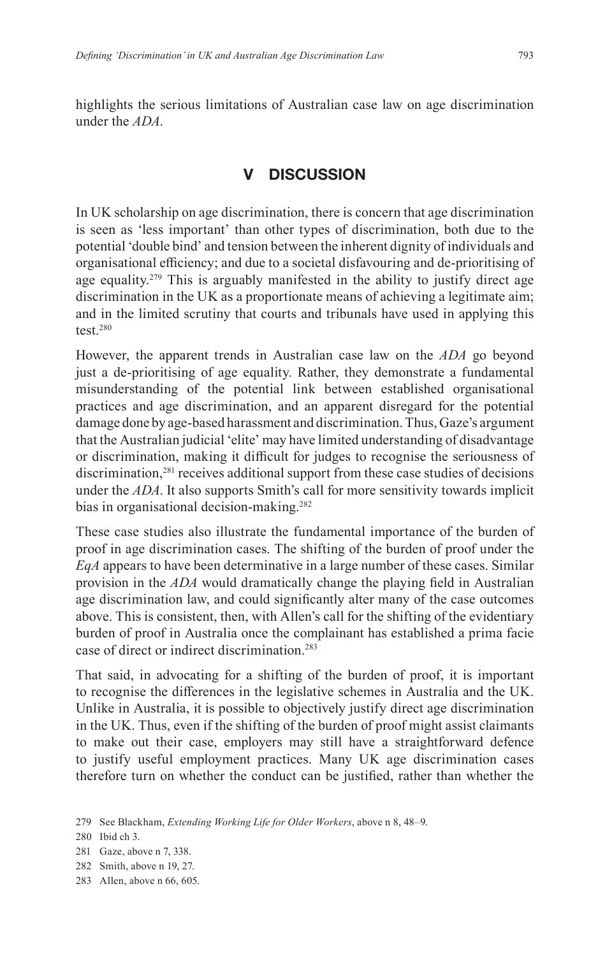highlights the serious limitations of Australian case law on age discrimination under the *ADA*.

## **DISCUSSION**

In UK scholarship on age discrimination, there is concern that age discrimination is seen as 'less important' than other types of discrimination, both due to the potential 'double bind' and tension between the inherent dignity of individuals and organisational efficiency; and due to a societal disfavouring and de-prioritising of age equality.<sup>279</sup> This is arguably manifested in the ability to justify direct age discrimination in the UK as a proportionate means of achieving a legitimate aim; and in the limited scrutiny that courts and tribunals have used in applying this test $280$ 

However, the apparent trends in Australian case law on the *ADA* go beyond just a de-prioritising of age equality. Rather, they demonstrate a fundamental misunderstanding of the potential link between established organisational practices and age discrimination, and an apparent disregard for the potential damage done by age-based harassment and discrimination. Thus, Gaze's argument that the Australian judicial 'elite' may have limited understanding of disadvantage or discrimination, making it difficult for judges to recognise the seriousness of discrimination,281 receives additional support from these case studies of decisions under the *ADA*. It also supports Smith's call for more sensitivity towards implicit bias in organisational decision-making.<sup>282</sup>

These case studies also illustrate the fundamental importance of the burden of proof in age discrimination cases. The shifting of the burden of proof under the *EqA* appears to have been determinative in a large number of these cases. Similar provision in the *ADA* would dramatically change the playing field in Australian age discrimination law, and could significantly alter many of the case outcomes above. This is consistent, then, with Allen's call for the shifting of the evidentiary burden of proof in Australia once the complainant has established a prima facie case of direct or indirect discrimination.283

That said, in advocating for a shifting of the burden of proof, it is important to recognise the differences in the legislative schemes in Australia and the UK. Unlike in Australia, it is possible to objectively justify direct age discrimination in the UK. Thus, even if the shifting of the burden of proof might assist claimants to make out their case, employers may still have a straightforward defence to justify useful employment practices. Many UK age discrimination cases therefore turn on whether the conduct can be justified, rather than whether the

<sup>279</sup> See Blackham, *Extending Working Life for Older Workers*, above n 8, 48–9.

<sup>280</sup> Ibid ch 3.

<sup>281</sup> Gaze, above n 7, 338.

<sup>282</sup> Smith, above n 19, 27.

<sup>283</sup> Allen, above n 66, 605.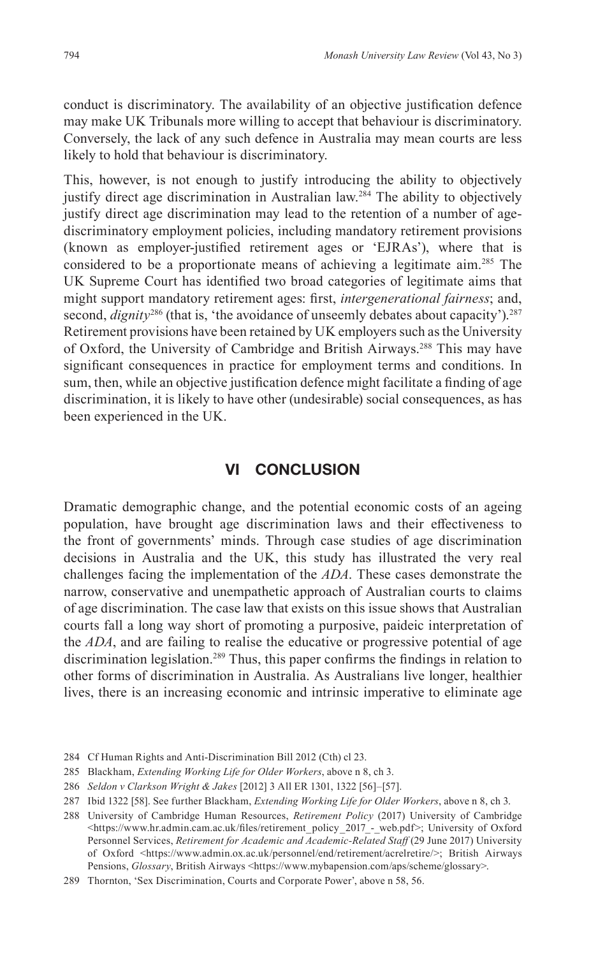conduct is discriminatory. The availability of an objective justification defence may make UK Tribunals more willing to accept that behaviour is discriminatory. Conversely, the lack of any such defence in Australia may mean courts are less likely to hold that behaviour is discriminatory.

This, however, is not enough to justify introducing the ability to objectively justify direct age discrimination in Australian law.<sup>284</sup> The ability to objectively justify direct age discrimination may lead to the retention of a number of agediscriminatory employment policies, including mandatory retirement provisions (known as employer-justified retirement ages or 'EJRAs'), where that is considered to be a proportionate means of achieving a legitimate aim.285 The UK Supreme Court has identified two broad categories of legitimate aims that might support mandatory retirement ages: first, *intergenerational fairness*; and, second,  $dignity^{286}$  (that is, 'the avoidance of unseemly debates about capacity').<sup>287</sup> Retirement provisions have been retained by UK employers such as the University of Oxford, the University of Cambridge and British Airways.288 This may have significant consequences in practice for employment terms and conditions. In sum, then, while an objective justification defence might facilitate a finding of age discrimination, it is likely to have other (undesirable) social consequences, as has been experienced in the UK.

#### **VI CONCLUSION**

Dramatic demographic change, and the potential economic costs of an ageing population, have brought age discrimination laws and their effectiveness to the front of governments' minds. Through case studies of age discrimination decisions in Australia and the UK, this study has illustrated the very real challenges facing the implementation of the *ADA*. These cases demonstrate the narrow, conservative and unempathetic approach of Australian courts to claims of age discrimination. The case law that exists on this issue shows that Australian courts fall a long way short of promoting a purposive, paideic interpretation of the *ADA*, and are failing to realise the educative or progressive potential of age discrimination legislation.<sup>289</sup> Thus, this paper confirms the findings in relation to other forms of discrimination in Australia. As Australians live longer, healthier lives, there is an increasing economic and intrinsic imperative to eliminate age

- 285 Blackham, *Extending Working Life for Older Workers*, above n 8, ch 3.
- 286 *Seldon v Clarkson Wright & Jakes* [2012] 3 All ER 1301, 1322 [56]–[57].

<sup>284</sup> Cf Human Rights and Anti-Discrimination Bill 2012 (Cth) cl 23.

<sup>287</sup> Ibid 1322 [58]. See further Blackham, *Extending Working Life for Older Workers*, above n 8, ch 3.

<sup>288</sup> University of Cambridge Human Resources, *Retirement Policy* (2017) University of Cambridge <https://www.hr.admin.cam.ac.uk/files/retirement\_policy\_2017\_-\_web.pdf>; University of Oxford Personnel Services, *Retirement for Academic and Academic-Related Staff* (29 June 2017) University of Oxford <https://www.admin.ox.ac.uk/personnel/end/retirement/acrelretire/>; British Airways Pensions, *Glossary*, British Airways <https://www.mybapension.com/aps/scheme/glossary>.

<sup>289</sup> Thornton, 'Sex Discrimination, Courts and Corporate Power', above n 58, 56.